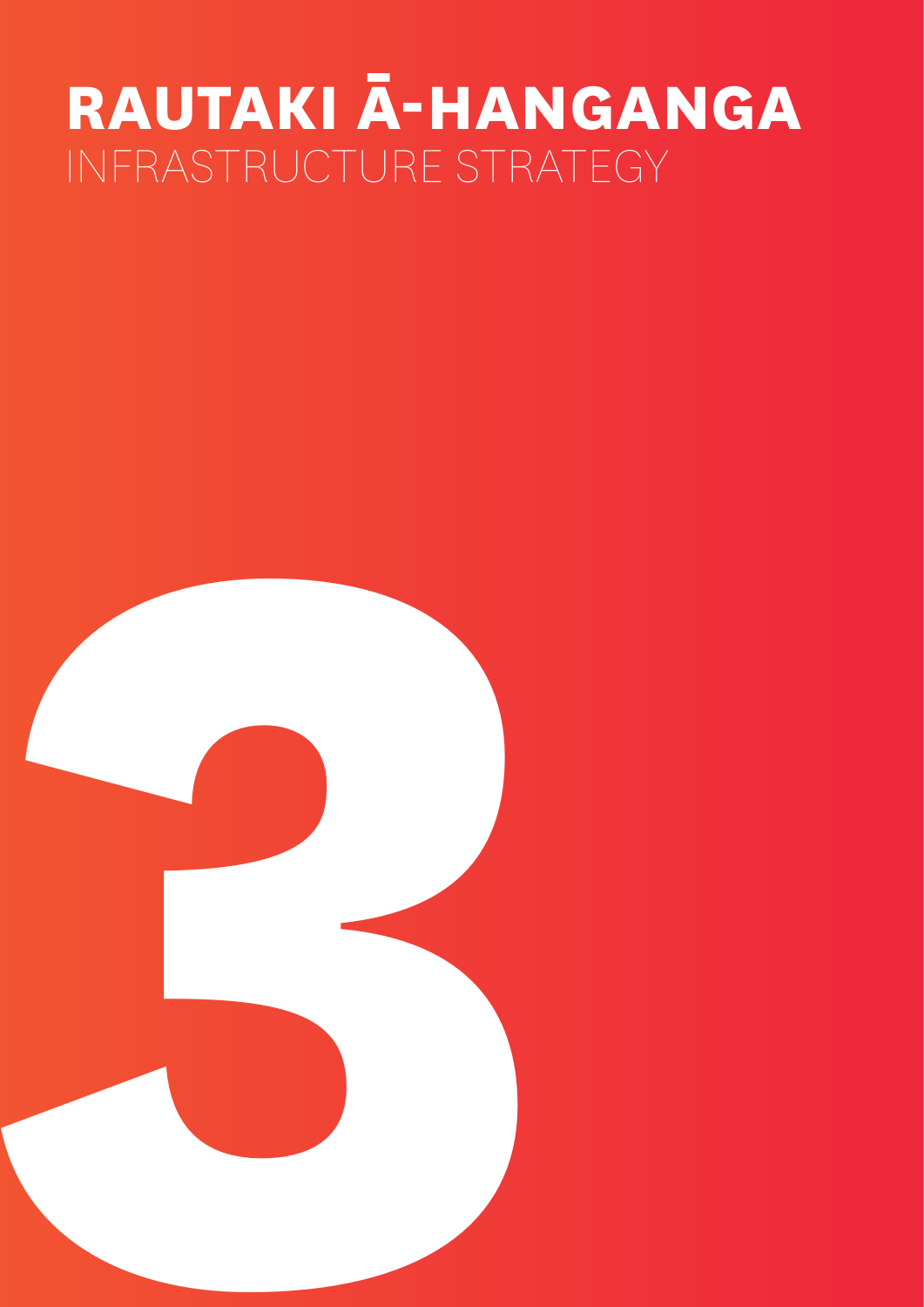# **RAUTAKI Ā-HANGANGA** INFRASTRUCTURE STRATEGY

- 
- **3**
	- -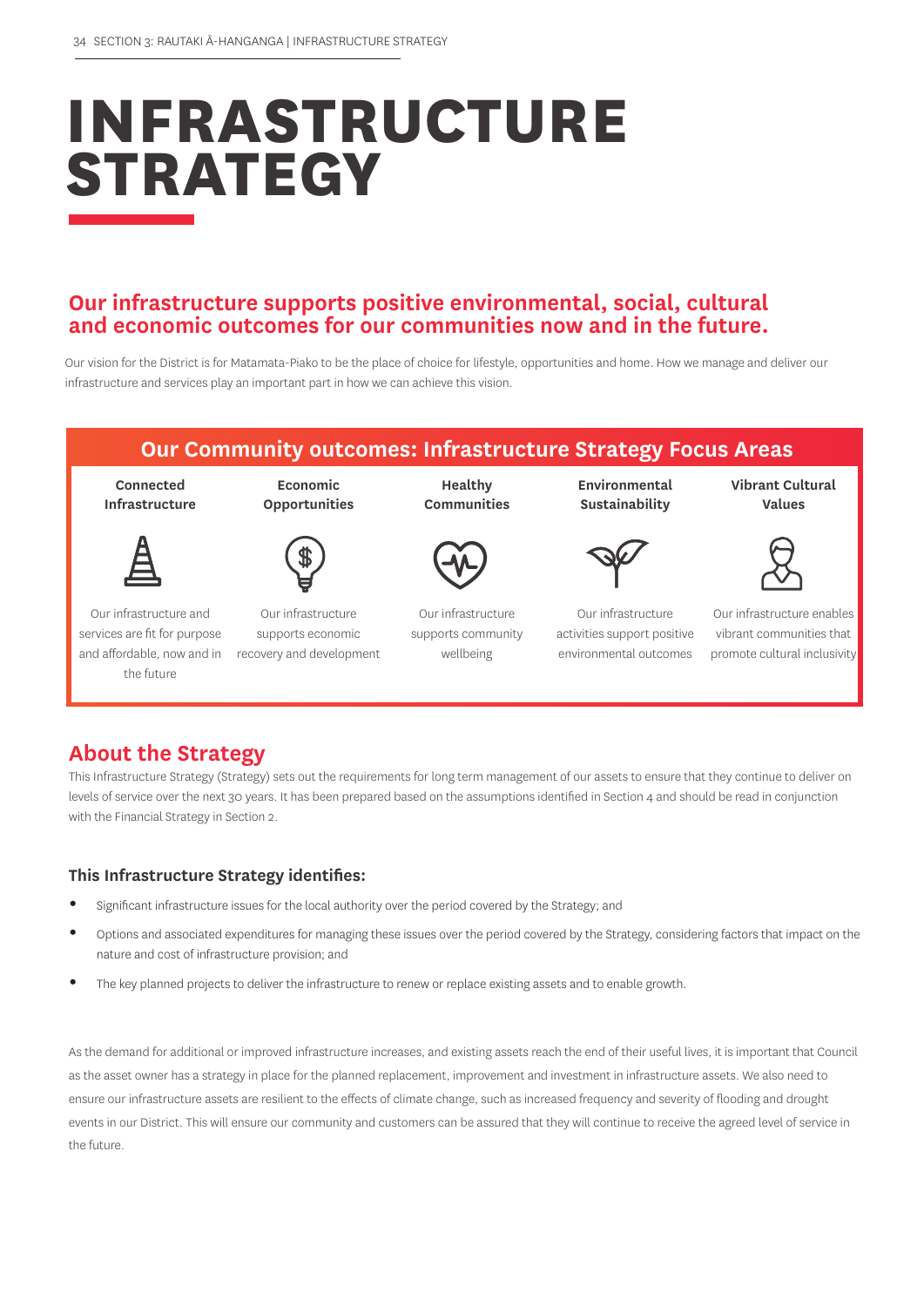# **INFRASTRUCTURE STRATEGY**

## **Our infrastructure supports positive environmental, social, cultural and economic outcomes for our communities now and in the future.**

Our vision for the District is for Matamata-Piako to be the place of choice for lifestyle, opportunities and home. How we manage and deliver our infrastructure and services play an important part in how we can achieve this vision.



# **About the Strategy**

This Infrastructure Strategy (Strategy) sets out the requirements for long term management of our assets to ensure that they continue to deliver on levels of service over the next 30 years. It has been prepared based on the assumptions identified in Section 4 and should be read in conjunction with the Financial Strategy in Section 2.

## **This Infrastructure Strategy identifies:**

- **•** Significant infrastructure issues for the local authority over the period covered by the Strategy; and
- **•** Options and associated expenditures for managing these issues over the period covered by the Strategy, considering factors that impact on the nature and cost of infrastructure provision; and
- **•** The key planned projects to deliver the infrastructure to renew or replace existing assets and to enable growth.

As the demand for additional or improved infrastructure increases, and existing assets reach the end of their useful lives, it is important that Council as the asset owner has a strategy in place for the planned replacement, improvement and investment in infrastructure assets. We also need to ensure our infrastructure assets are resilient to the effects of climate change, such as increased frequency and severity of flooding and drought events in our District. This will ensure our community and customers can be assured that they will continue to receive the agreed level of service in the future.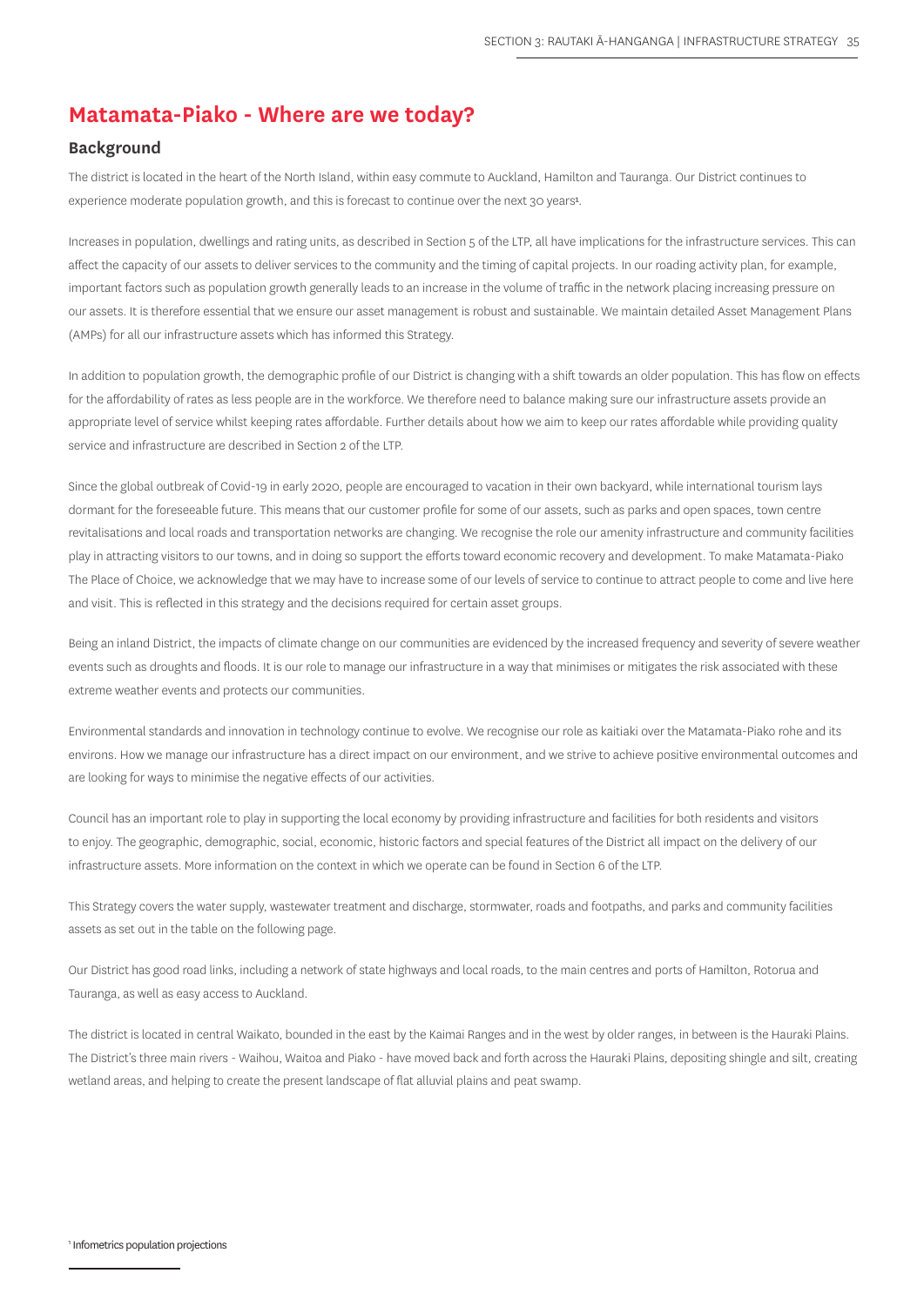## **Matamata-Piako - Where are we today?**

#### **Background**

The district is located in the heart of the North Island, within easy commute to Auckland, Hamilton and Tauranga. Our District continues to experience moderate population growth, and this is forecast to continue over the next 30 years<sup>1</sup>.

Increases in population, dwellings and rating units, as described in Section 5 of the LTP, all have implications for the infrastructure services. This can affect the capacity of our assets to deliver services to the community and the timing of capital projects. In our roading activity plan, for example, important factors such as population growth generally leads to an increase in the volume of traffic in the network placing increasing pressure on our assets. It is therefore essential that we ensure our asset management is robust and sustainable. We maintain detailed Asset Management Plans (AMPs) for all our infrastructure assets which has informed this Strategy.

In addition to population growth, the demographic profile of our District is changing with a shift towards an older population. This has flow on effects for the affordability of rates as less people are in the workforce. We therefore need to balance making sure our infrastructure assets provide an appropriate level of service whilst keeping rates affordable. Further details about how we aim to keep our rates affordable while providing quality service and infrastructure are described in Section 2 of the LTP.

Since the global outbreak of Covid-19 in early 2020, people are encouraged to vacation in their own backyard, while international tourism lays dormant for the foreseeable future. This means that our customer profile for some of our assets, such as parks and open spaces, town centre revitalisations and local roads and transportation networks are changing. We recognise the role our amenity infrastructure and community facilities play in attracting visitors to our towns, and in doing so support the efforts toward economic recovery and development. To make Matamata-Piako The Place of Choice, we acknowledge that we may have to increase some of our levels of service to continue to attract people to come and live here and visit. This is reflected in this strategy and the decisions required for certain asset groups.

Being an inland District, the impacts of climate change on our communities are evidenced by the increased frequency and severity of severe weather events such as droughts and floods. It is our role to manage our infrastructure in a way that minimises or mitigates the risk associated with these extreme weather events and protects our communities.

Environmental standards and innovation in technology continue to evolve. We recognise our role as kaitiaki over the Matamata-Piako rohe and its environs. How we manage our infrastructure has a direct impact on our environment, and we strive to achieve positive environmental outcomes and are looking for ways to minimise the negative effects of our activities.

Council has an important role to play in supporting the local economy by providing infrastructure and facilities for both residents and visitors to enjoy. The geographic, demographic, social, economic, historic factors and special features of the District all impact on the delivery of our infrastructure assets. More information on the context in which we operate can be found in Section 6 of the LTP.

This Strategy covers the water supply, wastewater treatment and discharge, stormwater, roads and footpaths, and parks and community facilities assets as set out in the table on the following page.

Our District has good road links, including a network of state highways and local roads, to the main centres and ports of Hamilton, Rotorua and Tauranga, as well as easy access to Auckland.

The district is located in central Waikato, bounded in the east by the Kaimai Ranges and in the west by older ranges, in between is the Hauraki Plains. The District's three main rivers - Waihou, Waitoa and Piako - have moved back and forth across the Hauraki Plains, depositing shingle and silt, creating wetland areas, and helping to create the present landscape of flat alluvial plains and peat swamp.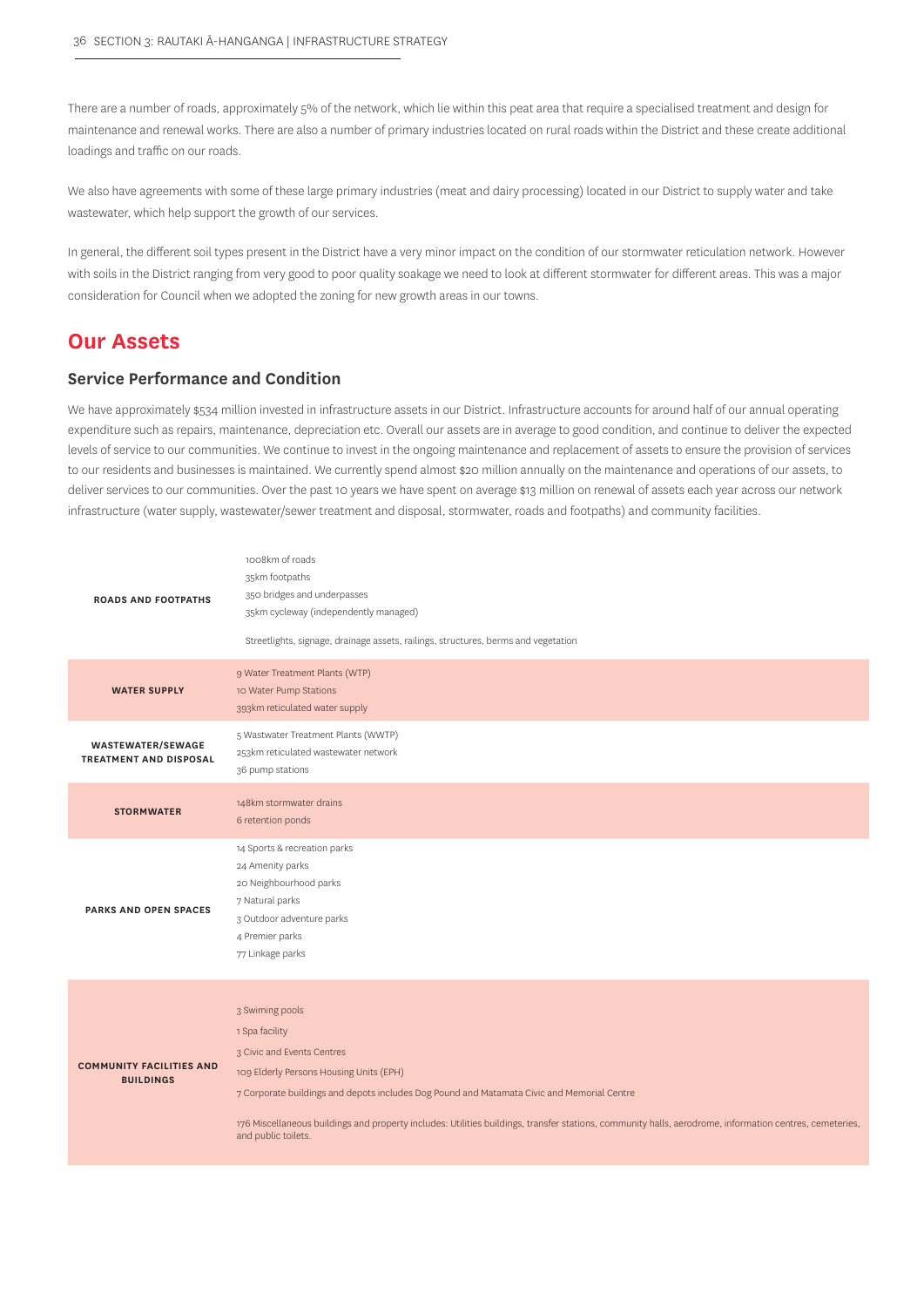There are a number of roads, approximately 5% of the network, which lie within this peat area that require a specialised treatment and design for maintenance and renewal works. There are also a number of primary industries located on rural roads within the District and these create additional loadings and traffic on our roads.

We also have agreements with some of these large primary industries (meat and dairy processing) located in our District to supply water and take wastewater, which help support the growth of our services.

In general, the different soil types present in the District have a very minor impact on the condition of our stormwater reticulation network. However with soils in the District ranging from very good to poor quality soakage we need to look at different stormwater for different areas. This was a major consideration for Council when we adopted the zoning for new growth areas in our towns.

## **Our Assets**

## **Service Performance and Condition**

We have approximately \$534 million invested in infrastructure assets in our District. Infrastructure accounts for around half of our annual operating expenditure such as repairs, maintenance, depreciation etc. Overall our assets are in average to good condition, and continue to deliver the expected levels of service to our communities. We continue to invest in the ongoing maintenance and replacement of assets to ensure the provision of services to our residents and businesses is maintained. We currently spend almost \$20 million annually on the maintenance and operations of our assets, to deliver services to our communities. Over the past 10 years we have spent on average \$13 million on renewal of assets each year across our network infrastructure (water supply, wastewater/sewer treatment and disposal, stormwater, roads and footpaths) and community facilities.

| <b>ROADS AND FOOTPATHS</b>                                | 1008km of roads<br>35km footpaths<br>350 bridges and underpasses<br>35km cycleway (independently managed)<br>Streetlights, signage, drainage assets, railings, structures, berms and vegetation                                                                                                                                                                                            |
|-----------------------------------------------------------|--------------------------------------------------------------------------------------------------------------------------------------------------------------------------------------------------------------------------------------------------------------------------------------------------------------------------------------------------------------------------------------------|
| <b>WATER SUPPLY</b>                                       | 9 Water Treatment Plants (WTP)<br>10 Water Pump Stations<br>393km reticulated water supply                                                                                                                                                                                                                                                                                                 |
| <b>WASTEWATER/SEWAGE</b><br><b>TREATMENT AND DISPOSAL</b> | 5 Wastwater Treatment Plants (WWTP)<br>253km reticulated wastewater network<br>36 pump stations                                                                                                                                                                                                                                                                                            |
| <b>STORMWATER</b>                                         | 148km stormwater drains<br>6 retention ponds                                                                                                                                                                                                                                                                                                                                               |
| <b>PARKS AND OPEN SPACES</b>                              | 14 Sports & recreation parks<br>24 Amenity parks<br>20 Neighbourhood parks<br>7 Natural parks<br>3 Outdoor adventure parks<br>4 Premier parks<br>77 Linkage parks                                                                                                                                                                                                                          |
| <b>COMMUNITY FACILITIES AND</b><br><b>BUILDINGS</b>       | 3 Swiming pools<br>1 Spa facility<br>3 Civic and Events Centres<br>109 Elderly Persons Housing Units (EPH)<br>7 Corporate buildings and depots includes Dog Pound and Matamata Civic and Memorial Centre<br>176 Miscellaneous buildings and property includes: Utilities buildings, transfer stations, community halls, aerodrome, information centres, cemeteries,<br>and public toilets. |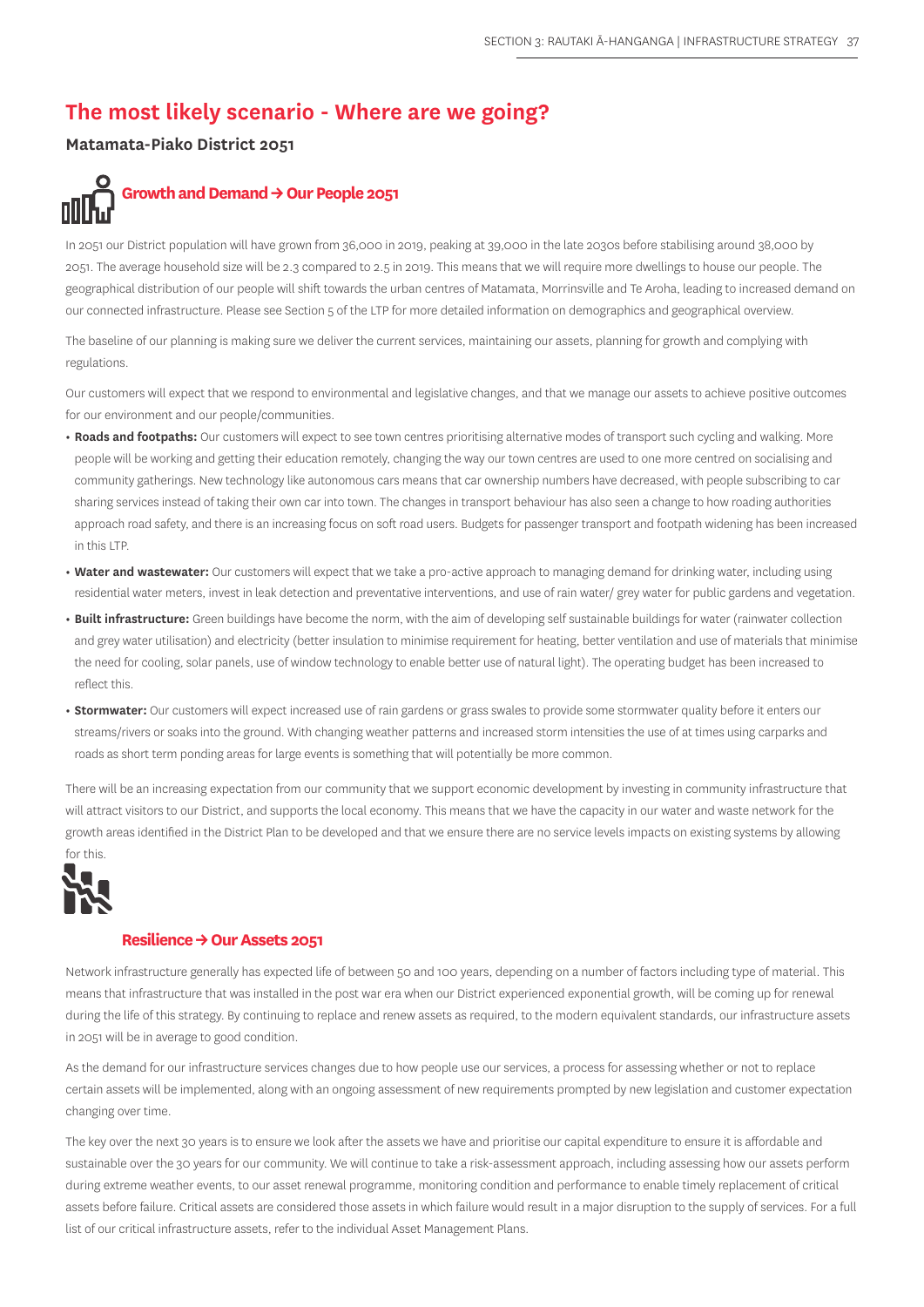# **The most likely scenario - Where are we going?**

## **Matamata-Piako District 2051**

# Growth and Demand  $\rightarrow$  Our People 2051

In 2051 our District population will have grown from 36,000 in 2019, peaking at 39,000 in the late 2030s before stabilising around 38,000 by 2051. The average household size will be 2.3 compared to 2.5 in 2019. This means that we will require more dwellings to house our people. The geographical distribution of our people will shift towards the urban centres of Matamata, Morrinsville and Te Aroha, leading to increased demand on our connected infrastructure. Please see Section 5 of the LTP for more detailed information on demographics and geographical overview.

The baseline of our planning is making sure we deliver the current services, maintaining our assets, planning for growth and complying with regulations.

Our customers will expect that we respond to environmental and legislative changes, and that we manage our assets to achieve positive outcomes for our environment and our people/communities.

- **• Roads and footpaths:** Our customers will expect to see town centres prioritising alternative modes of transport such cycling and walking. More people will be working and getting their education remotely, changing the way our town centres are used to one more centred on socialising and community gatherings. New technology like autonomous cars means that car ownership numbers have decreased, with people subscribing to car sharing services instead of taking their own car into town. The changes in transport behaviour has also seen a change to how roading authorities approach road safety, and there is an increasing focus on soft road users. Budgets for passenger transport and footpath widening has been increased in this LTP.
- **• Water and wastewater:** Our customers will expect that we take a pro-active approach to managing demand for drinking water, including using residential water meters, invest in leak detection and preventative interventions, and use of rain water/ grey water for public gardens and vegetation.
- **• Built infrastructure:** Green buildings have become the norm, with the aim of developing self sustainable buildings for water (rainwater collection and grey water utilisation) and electricity (better insulation to minimise requirement for heating, better ventilation and use of materials that minimise the need for cooling, solar panels, use of window technology to enable better use of natural light). The operating budget has been increased to reflect this.
- **• Stormwater:** Our customers will expect increased use of rain gardens or grass swales to provide some stormwater quality before it enters our streams/rivers or soaks into the ground. With changing weather patterns and increased storm intensities the use of at times using carparks and roads as short term ponding areas for large events is something that will potentially be more common.

There will be an increasing expectation from our community that we support economic development by investing in community infrastructure that will attract visitors to our District, and supports the local economy. This means that we have the capacity in our water and waste network for the growth areas identified in the District Plan to be developed and that we ensure there are no service levels impacts on existing systems by allowing for this.



#### **Resilience → Our Assets 2051**

Network infrastructure generally has expected life of between 50 and 100 years, depending on a number of factors including type of material. This means that infrastructure that was installed in the post war era when our District experienced exponential growth, will be coming up for renewal during the life of this strategy. By continuing to replace and renew assets as required, to the modern equivalent standards, our infrastructure assets in 2051 will be in average to good condition.

As the demand for our infrastructure services changes due to how people use our services, a process for assessing whether or not to replace certain assets will be implemented, along with an ongoing assessment of new requirements prompted by new legislation and customer expectation changing over time.

The key over the next 30 years is to ensure we look after the assets we have and prioritise our capital expenditure to ensure it is affordable and sustainable over the 30 years for our community. We will continue to take a risk-assessment approach, including assessing how our assets perform during extreme weather events, to our asset renewal programme, monitoring condition and performance to enable timely replacement of critical assets before failure. Critical assets are considered those assets in which failure would result in a major disruption to the supply of services. For a full list of our critical infrastructure assets, refer to the individual Asset Management Plans.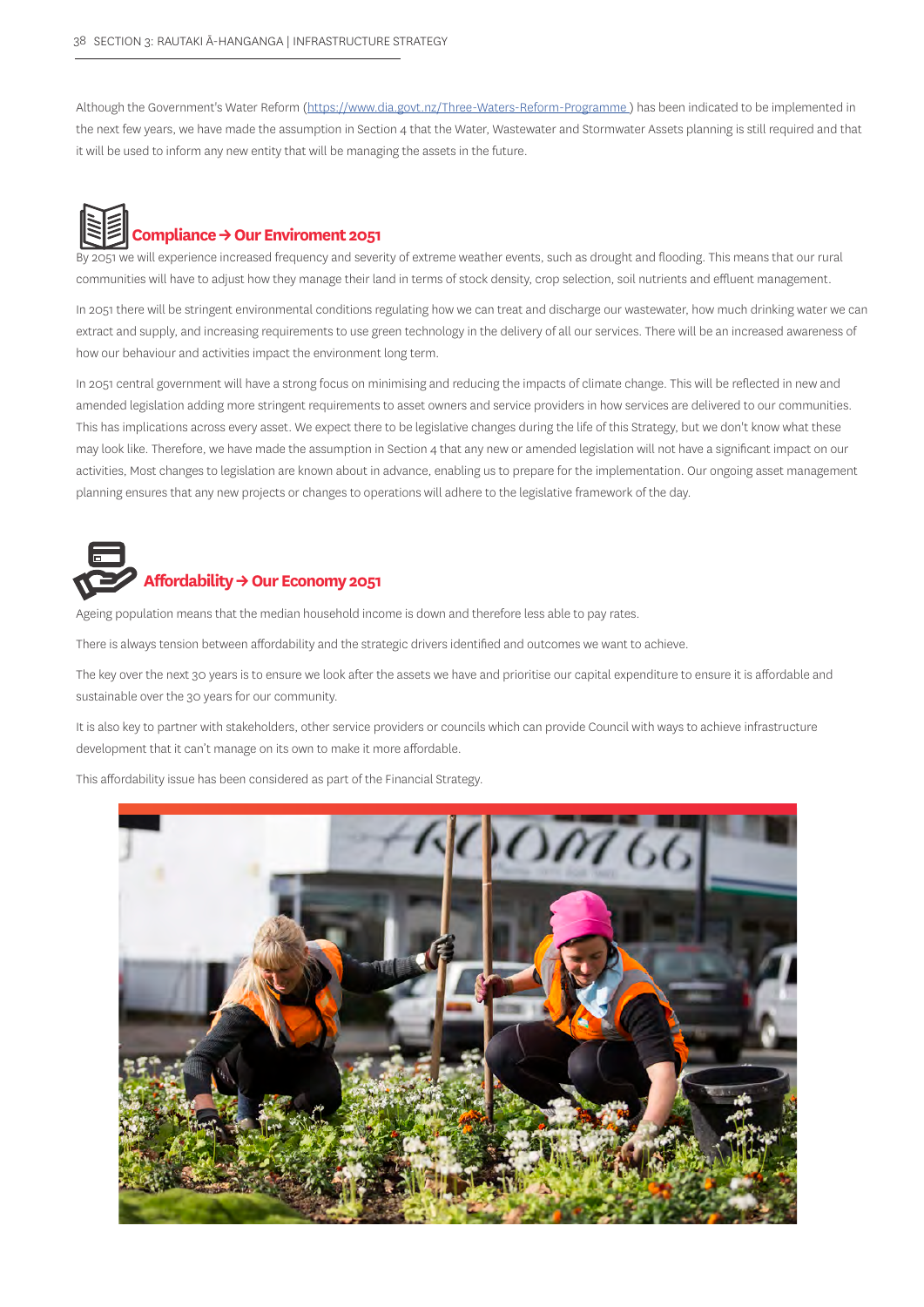Although the Government's Water Reform (https://www.dia.govt.nz/Three-Waters-Reform-Programme) has been indicated to be implemented in the next few years, we have made the assumption in Section 4 that the Water, Wastewater and Stormwater Assets planning is still required and that it will be used to inform any new entity that will be managing the assets in the future.



By 2051 we will experience increased frequency and severity of extreme weather events, such as drought and flooding. This means that our rural communities will have to adjust how they manage their land in terms of stock density, crop selection, soil nutrients and effluent management.

In 2051 there will be stringent environmental conditions regulating how we can treat and discharge our wastewater, how much drinking water we can extract and supply, and increasing requirements to use green technology in the delivery of all our services. There will be an increased awareness of how our behaviour and activities impact the environment long term.

In 2051 central government will have a strong focus on minimising and reducing the impacts of climate change. This will be reflected in new and amended legislation adding more stringent requirements to asset owners and service providers in how services are delivered to our communities. This has implications across every asset. We expect there to be legislative changes during the life of this Strategy, but we don't know what these may look like. Therefore, we have made the assumption in Section 4 that any new or amended legislation will not have a significant impact on our activities, Most changes to legislation are known about in advance, enabling us to prepare for the implementation. Our ongoing asset management planning ensures that any new projects or changes to operations will adhere to the legislative framework of the day.



## **Affordability → Our Economy 2051**

Ageing population means that the median household income is down and therefore less able to pay rates.

There is always tension between affordability and the strategic drivers identified and outcomes we want to achieve.

The key over the next 30 years is to ensure we look after the assets we have and prioritise our capital expenditure to ensure it is affordable and sustainable over the 30 years for our community.

It is also key to partner with stakeholders, other service providers or councils which can provide Council with ways to achieve infrastructure development that it can't manage on its own to make it more affordable.

This affordability issue has been considered as part of the Financial Strategy.

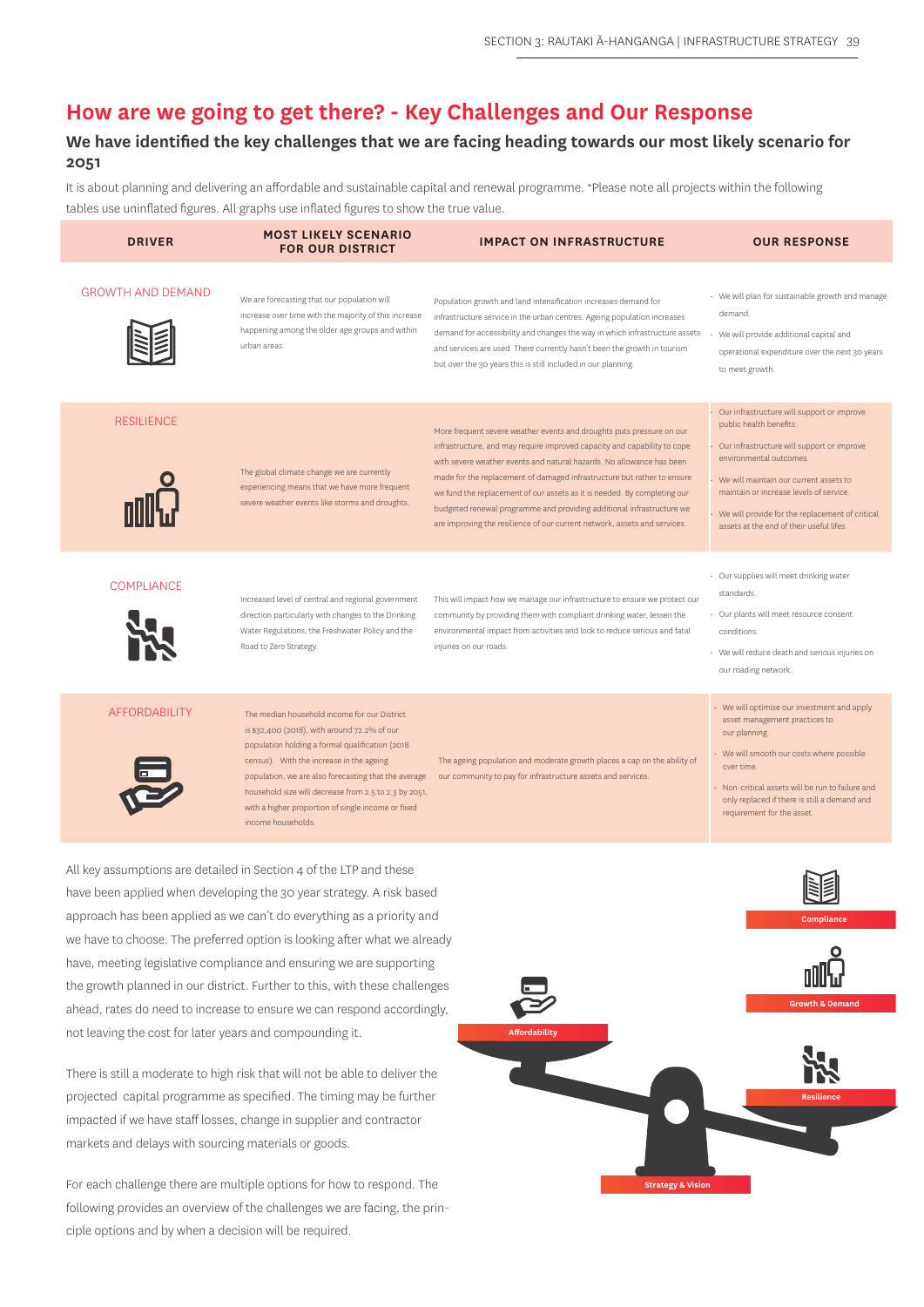**Strategy & Vision**

## **How are we going to get there? - Key Challenges and Our Response**

## **We have identified the key challenges that we are facing heading towards our most likely scenario for 2051**

It is about planning and delivering an affordable and sustainable capital and renewal programme. \*Please note all projects within the following tables use uninflated figures. All graphs use inflated figures to show the true value.

| <b>DRIVER</b>                                            | <b>MOST LIKELY SCENARIO</b><br><b>FOR OUR DISTRICT</b>                                                                                                                                                                                                                                                                                                                                                                                                                                                                                                                                                                                                                               | <b>IMPACT ON INFRASTRUCTURE</b>                                                                                                                                                                                                                                                                                                                                                                                                                                                                                                         | <b>OUR RESPONSE</b>                                                                                                                                                                                                                                                                                                                    |
|----------------------------------------------------------|--------------------------------------------------------------------------------------------------------------------------------------------------------------------------------------------------------------------------------------------------------------------------------------------------------------------------------------------------------------------------------------------------------------------------------------------------------------------------------------------------------------------------------------------------------------------------------------------------------------------------------------------------------------------------------------|-----------------------------------------------------------------------------------------------------------------------------------------------------------------------------------------------------------------------------------------------------------------------------------------------------------------------------------------------------------------------------------------------------------------------------------------------------------------------------------------------------------------------------------------|----------------------------------------------------------------------------------------------------------------------------------------------------------------------------------------------------------------------------------------------------------------------------------------------------------------------------------------|
| <b>GROWTH AND DEMAND</b>                                 | We are forecasting that our population will<br>increase over time with the majority of this increase<br>happening among the older age groups and within<br>urban areas.                                                                                                                                                                                                                                                                                                                                                                                                                                                                                                              | Population growth and land intensification increases demand for<br>infrastructure service in the urban centres. Ageing population increases<br>demand for accessibility and changes the way in which infrastructure assets<br>and services are used. There currently hasn't been the growth in tourism<br>but over the 30 years this is still included in our planning.                                                                                                                                                                 | • We will plan for sustainable growth and manage<br>demand.<br>We will provide additional capital and<br>operational expenditure over the next 30 years<br>to meet growth.                                                                                                                                                             |
| <b>RESILIENCE</b>                                        | The global climate change we are currently<br>experiencing means that we have more frequent<br>severe weather events like storms and droughts.                                                                                                                                                                                                                                                                                                                                                                                                                                                                                                                                       | More frequent severe weather events and droughts puts pressure on our<br>infrastructure, and may require improved capacity and capability to cope<br>with severe weather events and natural hazards. No allowance has been<br>made for the replacement of damaged infrastructure but rather to ensure<br>we fund the replacement of our assets as it is needed. By completing our<br>budgeted renewal programme and providing additional infrastructure we<br>are improving the resilience of our current network, assets and services. | Our infrastructure will support or improve<br>public health benefits.<br>Our infrastructure will support or improve<br>environmental outcomes.<br>• We will maintain our current assets to<br>maintain or increase levels of service.<br>• We will provide for the replacement of critical<br>assets at the end of their useful lifes. |
| <b>COMPLIANCE</b>                                        | Increased level of central and regional government<br>direction particularly with changes to the Drinking<br>Water Regulations, the Freshwater Policy and the<br>Road to Zero Strategy.                                                                                                                                                                                                                                                                                                                                                                                                                                                                                              | This will impact how we manage our infrastructure to ensure we protect our<br>community by providing them with compliant drinking water, lessen the<br>environmental impact from activities and look to reduce serious and fatal<br>injuries on our roads.                                                                                                                                                                                                                                                                              | · Our supplies will meet drinking water<br>standards.<br>· Our plants will meet resource consent<br>conditions.<br>· We will reduce death and serious injuries on<br>our roading network.                                                                                                                                              |
| <b>AFFORDABILITY</b>                                     | The median household income for our District<br>is \$32,400 (2018), with around 72.2% of our<br>population holding a formal qualification (2018<br>census). With the increase in the ageing<br>population, we are also forecasting that the average<br>household size will decrease from 2.5 to 2.3 by 2051,<br>with a higher proportion of single income or fixed<br>income households.                                                                                                                                                                                                                                                                                             | The ageing population and moderate growth places a cap on the ability of<br>our community to pay for infrastructure assets and services.                                                                                                                                                                                                                                                                                                                                                                                                | • We will optimise our investment and apply<br>asset management practices to<br>our planning.<br>· We will smooth our costs where possible<br>over time.<br>· Non-critical assets will be run to failure and<br>only replaced if there is still a demand and<br>requirement for the asset.                                             |
| not leaving the cost for later years and compounding it. | All key assumptions are detailed in Section 4 of the LTP and these<br>have been applied when developing the 30 year strategy. A risk based<br>approach has been applied as we can't do everything as a priority and<br>we have to choose. The preferred option is looking after what we already<br>have, meeting legislative compliance and ensuring we are supporting<br>the growth planned in our district. Further to this, with these challenges<br>ahead, rates do need to increase to ensure we can respond accordingly,<br>There is still a moderate to high risk that will not be able to deliver the<br>projected capital programme as specified. The timing may be further | <b>Affordability</b>                                                                                                                                                                                                                                                                                                                                                                                                                                                                                                                    | <b>Growth &amp; Demand</b><br><b>Resilience</b>                                                                                                                                                                                                                                                                                        |
| markets and delays with sourcing materials or goods.     | impacted if we have staff losses, change in supplier and contractor                                                                                                                                                                                                                                                                                                                                                                                                                                                                                                                                                                                                                  |                                                                                                                                                                                                                                                                                                                                                                                                                                                                                                                                         |                                                                                                                                                                                                                                                                                                                                        |

For each challenge there are multiple options for how to respond. The following provides an overview of the challenges we are facing, the principle options and by when a decision will be required.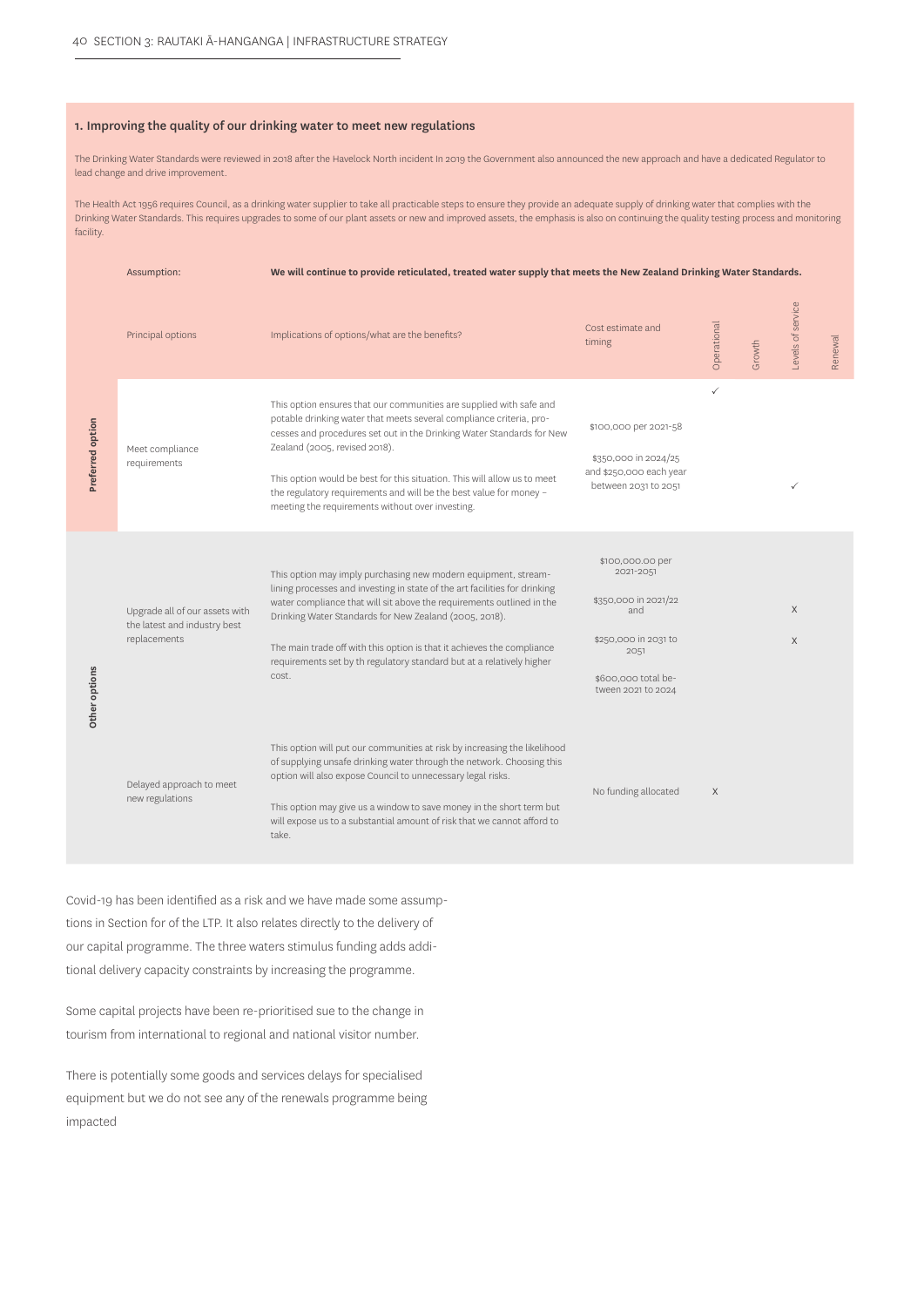#### 1. Improving the quality of our drinking water to meet new regulations

The Drinking Water Standards were reviewed in 2018 after the Havelock North incident In 2019 the Government also announced the new approach and have a dedicated Regulator to lead change and drive improvement.

The Health Act 1956 requires Council, as a drinking water supplier to take all practicable steps to ensure they provide an adequate supply of drinking water that complies with the Drinking Water Standards. This requires upgrades to some of our plant assets or new and improved assets, the emphasis is also on continuing the quality testing process and monitoring facility.

|                  | Assumption:                                                                    | We will continue to provide reticulated, treated water supply that meets the New Zealand Drinking Water Standards.                                                                                                                                                                                                                                                                                                                                         |                                                                                                                                           |             |        |                   |         |
|------------------|--------------------------------------------------------------------------------|------------------------------------------------------------------------------------------------------------------------------------------------------------------------------------------------------------------------------------------------------------------------------------------------------------------------------------------------------------------------------------------------------------------------------------------------------------|-------------------------------------------------------------------------------------------------------------------------------------------|-------------|--------|-------------------|---------|
|                  | Principal options                                                              | Implications of options/what are the benefits?                                                                                                                                                                                                                                                                                                                                                                                                             | Cost estimate and<br>timing                                                                                                               | Operational | Growth | Levels of service | Renewal |
| Preferred option | Meet compliance<br>requirements                                                | This option ensures that our communities are supplied with safe and<br>potable drinking water that meets several compliance criteria, pro-<br>cesses and procedures set out in the Drinking Water Standards for New<br>Zealand (2005, revised 2018).<br>This option would be best for this situation. This will allow us to meet<br>the regulatory requirements and will be the best value for money -<br>meeting the requirements without over investing. | \$100,000 per 2021-58<br>\$350,000 in 2024/25<br>and \$250,000 each year<br>between 2031 to 2051                                          | ✓           |        | ✓                 |         |
| Other options    | Upgrade all of our assets with<br>the latest and industry best<br>replacements | This option may imply purchasing new modern equipment, stream-<br>lining processes and investing in state of the art facilities for drinking<br>water compliance that will sit above the requirements outlined in the<br>Drinking Water Standards for New Zealand (2005, 2018).<br>The main trade off with this option is that it achieves the compliance<br>requirements set by th regulatory standard but at a relatively higher<br>cost.                | \$100,000.00 per<br>2021-2051<br>\$350,000 in 2021/22<br>and<br>\$250,000 in 2031 to<br>2051<br>\$600,000 total be-<br>tween 2021 to 2024 |             |        | X<br>$\mathsf X$  |         |
|                  | Delayed approach to meet<br>new regulations                                    | This option will put our communities at risk by increasing the likelihood<br>of supplying unsafe drinking water through the network. Choosing this<br>option will also expose Council to unnecessary legal risks.<br>This option may give us a window to save money in the short term but<br>will expose us to a substantial amount of risk that we cannot afford to<br>take.                                                                              | No funding allocated                                                                                                                      | X           |        |                   |         |

Covid-19 has been identified as a risk and we have made some assumptions in Section for of the LTP. It also relates directly to the delivery of our capital programme. The three waters stimulus funding adds additional delivery capacity constraints by increasing the programme.

Some capital projects have been re-prioritised sue to the change in tourism from international to regional and national visitor number.

There is potentially some goods and services delays for specialised equipment but we do not see any of the renewals programme being impacted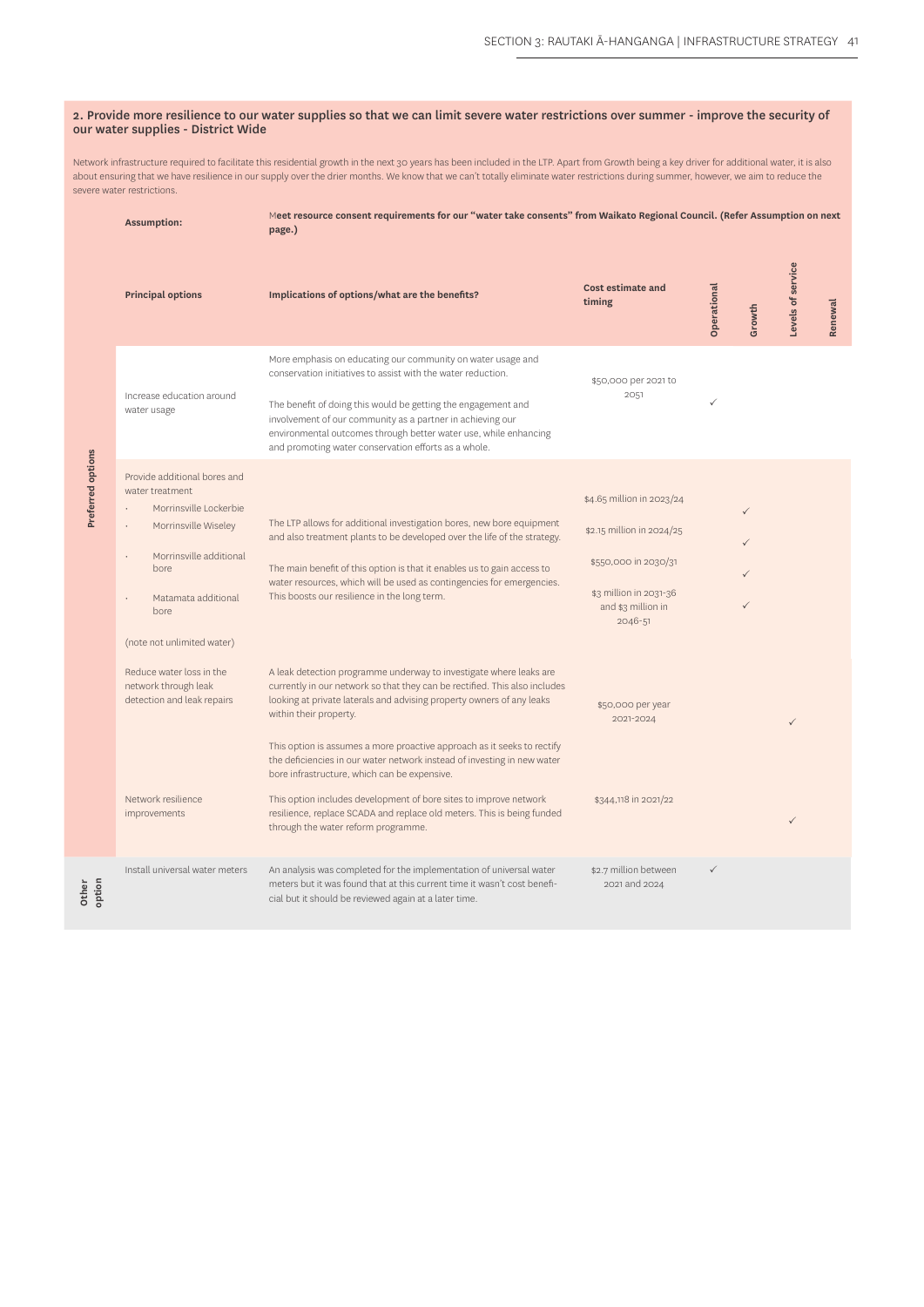#### 2. Provide more resilience to our water supplies so that we can limit severe water restrictions over summer - improve the security of our water supplies - District Wide

Network infrastructure required to facilitate this residential growth in the next 30 years has been included in the LTP. Apart from Growth being a key driver for additional water, it is also about ensuring that we have resilience in our supply over the drier months. We know that we can't totally eliminate water restrictions during summer, however, we aim to reduce the severe water restrictions.

| Meet resource consent requirements for our "water take consents" from Waikato Regional Council. (Refer Assumption on next<br><b>Assumption:</b><br>page.) |                                                                                                                                                                                                                                                                                            |                                                                                                                                                                                                                                                                                                                                                                                                                                                                                                                                                                                                              |                                                                                                                                                                             |              |              |                   |         |  |
|-----------------------------------------------------------------------------------------------------------------------------------------------------------|--------------------------------------------------------------------------------------------------------------------------------------------------------------------------------------------------------------------------------------------------------------------------------------------|--------------------------------------------------------------------------------------------------------------------------------------------------------------------------------------------------------------------------------------------------------------------------------------------------------------------------------------------------------------------------------------------------------------------------------------------------------------------------------------------------------------------------------------------------------------------------------------------------------------|-----------------------------------------------------------------------------------------------------------------------------------------------------------------------------|--------------|--------------|-------------------|---------|--|
|                                                                                                                                                           | <b>Principal options</b>                                                                                                                                                                                                                                                                   | Implications of options/what are the benefits?                                                                                                                                                                                                                                                                                                                                                                                                                                                                                                                                                               | Cost estimate and<br>timing                                                                                                                                                 | Operational  | Growth       | Levels of service | Renewal |  |
|                                                                                                                                                           | Increase education around<br>water usage                                                                                                                                                                                                                                                   | More emphasis on educating our community on water usage and<br>conservation initiatives to assist with the water reduction.<br>The benefit of doing this would be getting the engagement and<br>involvement of our community as a partner in achieving our<br>environmental outcomes through better water use, while enhancing<br>and promoting water conservation efforts as a whole.                                                                                                                                                                                                                       | \$50,000 per 2021 to<br>2051                                                                                                                                                | ✓            |              |                   |         |  |
| Preferred options                                                                                                                                         | Provide additional bores and<br>water treatment<br>Morrinsville Lockerbie<br>Morrinsville Wiseley<br>Morrinsville additional<br><b>bore</b><br>Matamata additional<br>bore<br>(note not unlimited water)<br>Reduce water loss in the<br>network through leak<br>detection and leak repairs | The LTP allows for additional investigation bores, new bore equipment<br>and also treatment plants to be developed over the life of the strategy.<br>The main benefit of this option is that it enables us to gain access to<br>water resources, which will be used as contingencies for emergencies.<br>This boosts our resilience in the long term.<br>A leak detection programme underway to investigate where leaks are<br>currently in our network so that they can be rectified. This also includes<br>looking at private laterals and advising property owners of any leaks<br>within their property. | \$4.65 million in 2023/24<br>\$2.15 million in 2024/25<br>\$550,000 in 2030/31<br>\$3 million in 2031-36<br>and \$3 million in<br>2046-51<br>\$50,000 per year<br>2021-2024 |              | $\checkmark$ | $\checkmark$      |         |  |
|                                                                                                                                                           | Network resilience<br>improvements                                                                                                                                                                                                                                                         | This option is assumes a more proactive approach as it seeks to rectify<br>the deficiencies in our water network instead of investing in new water<br>bore infrastructure, which can be expensive.<br>This option includes development of bore sites to improve network<br>\$344,118 in 2021/22<br>resilience, replace SCADA and replace old meters. This is being funded<br>through the water reform programme.                                                                                                                                                                                             |                                                                                                                                                                             |              |              | ✓                 |         |  |
| option                                                                                                                                                    | Install universal water meters                                                                                                                                                                                                                                                             | An analysis was completed for the implementation of universal water<br>meters but it was found that at this current time it wasn't cost benefi-<br>cial but it should be reviewed again at a later time.                                                                                                                                                                                                                                                                                                                                                                                                     | \$2.7 million between<br>2021 and 2024                                                                                                                                      | $\checkmark$ |              |                   |         |  |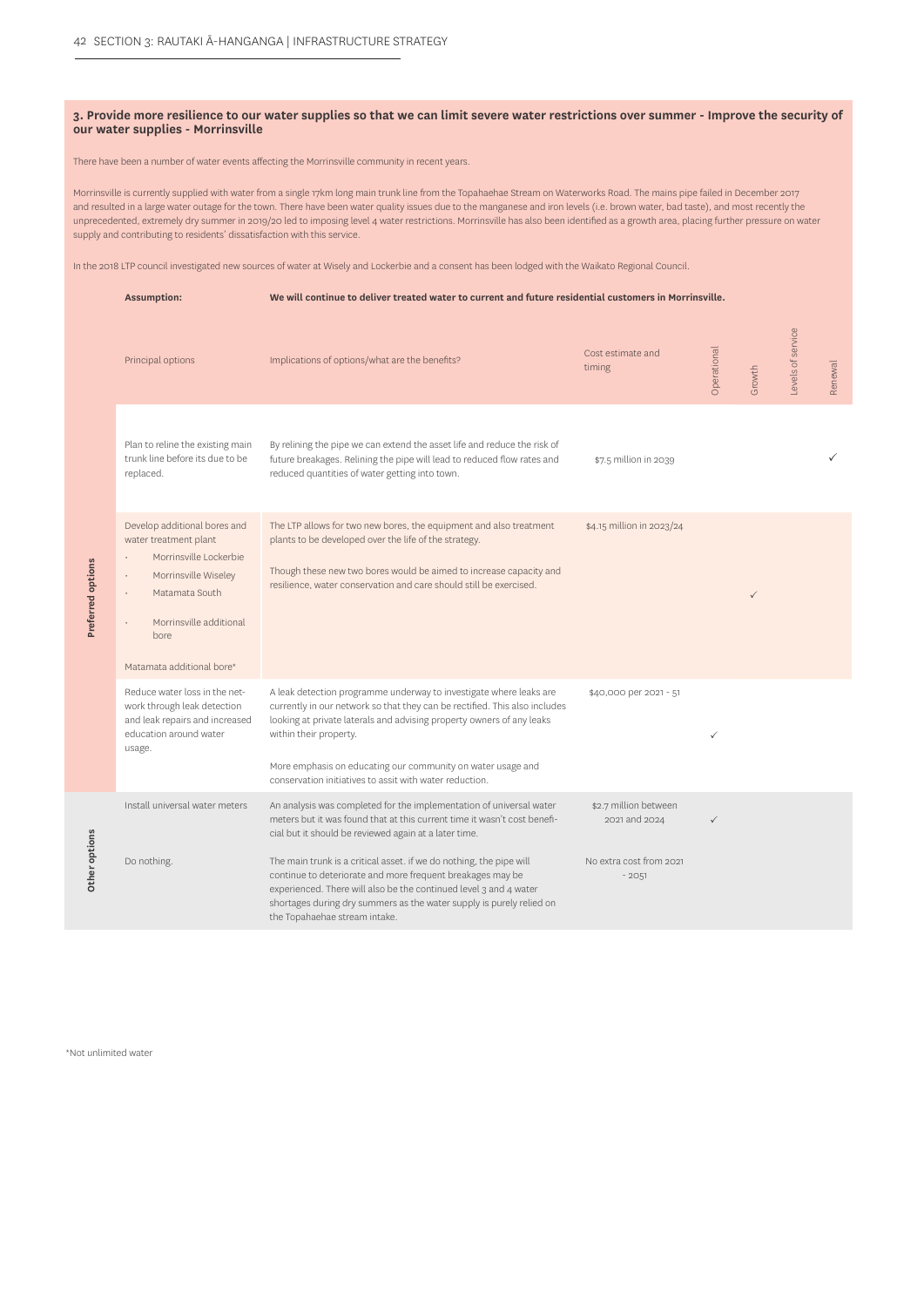#### **3. Provide more resilience to our water supplies so that we can limit severe water restrictions over summer - Improve the security of our water supplies - Morrinsville**

#### There have been a number of water events affecting the Morrinsville community in recent years.

Morrinsville is currently supplied with water from a single 17km long main trunk line from the Topahaehae Stream on Waterworks Road. The mains pipe failed in December 2017 and resulted in a large water outage for the town. There have been water quality issues due to the manganese and iron levels (i.e. brown water, bad taste), and most recently the unprecedented, extremely dry summer in 2019/20 led to imposing level 4 water restrictions. Morrinsville has also been identified as a growth area, placing further pressure on water supply and contributing to residents' dissatisfaction with this service.

In the 2018 LTP council investigated new sources of water at Wisely and Lockerbie and a consent has been lodged with the Waikato Regional Council.

|                   | <b>Assumption:</b>                                                                                                                                                                        | We will continue to deliver treated water to current and future residential customers in Morrinsville.                                                                                                                                                                                                                                                                        |                                        |              |              |                   |         |
|-------------------|-------------------------------------------------------------------------------------------------------------------------------------------------------------------------------------------|-------------------------------------------------------------------------------------------------------------------------------------------------------------------------------------------------------------------------------------------------------------------------------------------------------------------------------------------------------------------------------|----------------------------------------|--------------|--------------|-------------------|---------|
|                   | Principal options                                                                                                                                                                         | Implications of options/what are the benefits?                                                                                                                                                                                                                                                                                                                                | Cost estimate and<br>timing            | Operational  | Growth       | Levels of service | Renewal |
|                   | Plan to reline the existing main<br>trunk line before its due to be<br>replaced.                                                                                                          | By relining the pipe we can extend the asset life and reduce the risk of<br>future breakages. Relining the pipe will lead to reduced flow rates and<br>reduced quantities of water getting into town.                                                                                                                                                                         | \$7.5 million in 2039                  |              |              |                   | ✓       |
| Preferred options | Develop additional bores and<br>water treatment plant<br>Morrinsville Lockerbie<br>Morrinsville Wiseley<br>Matamata South<br>Morrinsville additional<br>bore<br>Matamata additional bore* | The LTP allows for two new bores, the equipment and also treatment<br>plants to be developed over the life of the strategy.<br>Though these new two bores would be aimed to increase capacity and<br>resilience, water conservation and care should still be exercised.                                                                                                       | \$4.15 million in 2023/24              |              | $\checkmark$ |                   |         |
|                   | Reduce water loss in the net-<br>work through leak detection<br>and leak repairs and increased<br>education around water<br>usage.                                                        | A leak detection programme underway to investigate where leaks are<br>currently in our network so that they can be rectified. This also includes<br>looking at private laterals and advising property owners of any leaks<br>within their property.<br>More emphasis on educating our community on water usage and<br>conservation initiatives to assit with water reduction. | \$40,000 per 2021 - 51                 | $\checkmark$ |              |                   |         |
|                   | Install universal water meters                                                                                                                                                            | An analysis was completed for the implementation of universal water<br>meters but it was found that at this current time it wasn't cost benefi-<br>cial but it should be reviewed again at a later time.                                                                                                                                                                      | \$2.7 million between<br>2021 and 2024 | $\checkmark$ |              |                   |         |
| Other options     | Do nothing.                                                                                                                                                                               | The main trunk is a critical asset. if we do nothing, the pipe will<br>continue to deteriorate and more frequent breakages may be<br>experienced. There will also be the continued level 3 and 4 water<br>shortages during dry summers as the water supply is purely relied on<br>the Topahaehae stream intake.                                                               | No extra cost from 2021<br>$-2051$     |              |              |                   |         |

\*Not unlimited water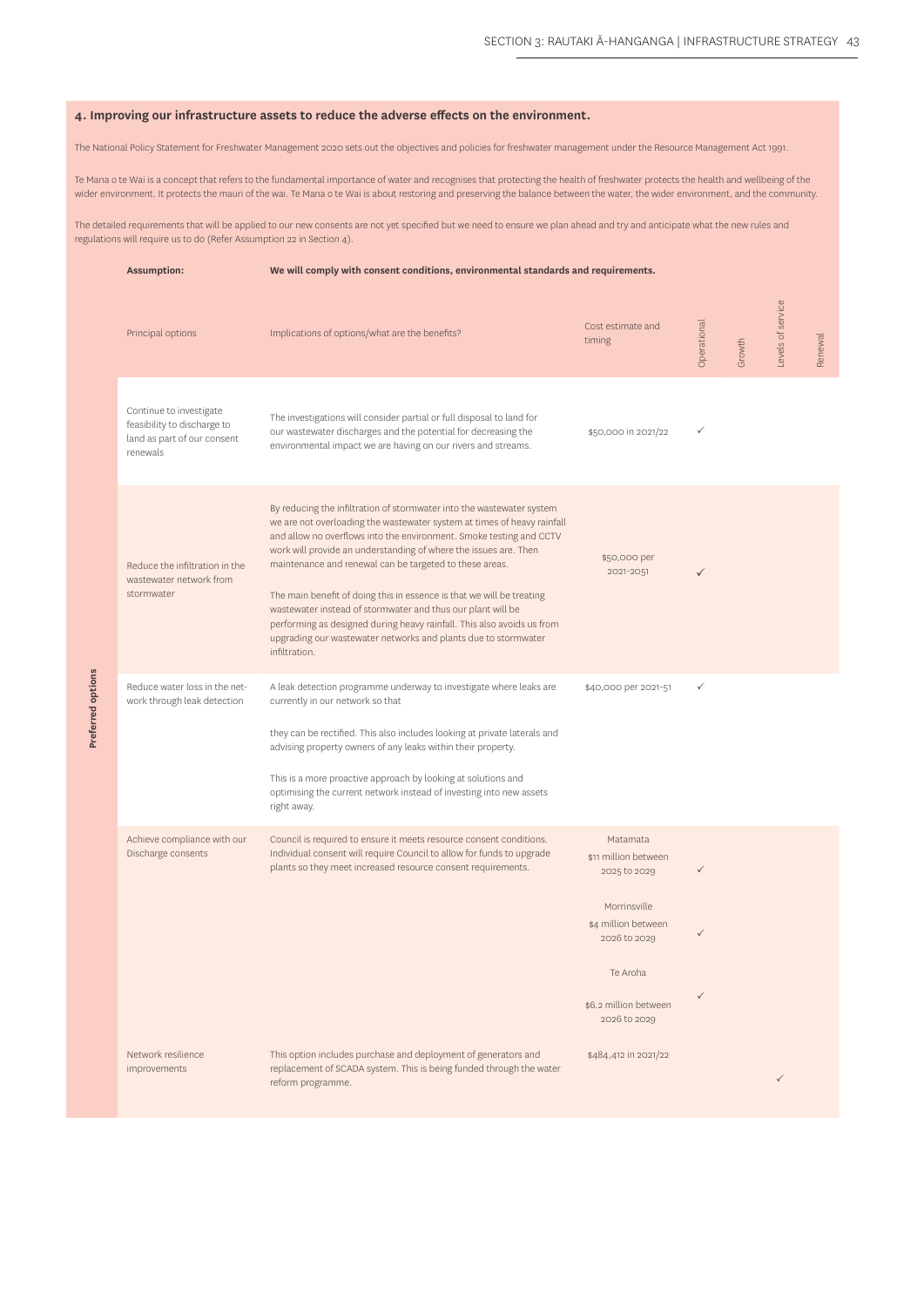#### **4. Improving our infrastructure assets to reduce the adverse effects on the environment.**

The National Policy Statement for Freshwater Management 2020 sets out the objectives and policies for freshwater management under the Resource Management Act 1991.

Te Mana o te Wai is a concept that refers to the fundamental importance of water and recognises that protecting the health of freshwater protects the health and wellbeing of the wider environment. It protects the mauri of the wai. Te Mana o te Wai is about restoring and preserving the balance between the water, the wider environment, and the community.

The detailed requirements that will be applied to our new consents are not yet specified but we need to ensure we plan ahead and try and anticipate what the new rules and regulations will require us to do (Refer Assumption 22 in Section 4).

| <b>Assumption:</b>                                                                                | We will comply with consent conditions, environmental standards and requirements.                                                                                                                                                                                                                                                                                                                                                                                                                                                                                                                                                                           |                                                                                                                                                              |            |        |                   |         |  |
|---------------------------------------------------------------------------------------------------|-------------------------------------------------------------------------------------------------------------------------------------------------------------------------------------------------------------------------------------------------------------------------------------------------------------------------------------------------------------------------------------------------------------------------------------------------------------------------------------------------------------------------------------------------------------------------------------------------------------------------------------------------------------|--------------------------------------------------------------------------------------------------------------------------------------------------------------|------------|--------|-------------------|---------|--|
| Principal options                                                                                 | Implications of options/what are the benefits?                                                                                                                                                                                                                                                                                                                                                                                                                                                                                                                                                                                                              | Cost estimate and<br>timing                                                                                                                                  | Operationa | Growth | Levels of service | Renewal |  |
| Continue to investigate<br>feasibility to discharge to<br>land as part of our consent<br>renewals | The investigations will consider partial or full disposal to land for<br>our wastewater discharges and the potential for decreasing the<br>environmental impact we are having on our rivers and streams.                                                                                                                                                                                                                                                                                                                                                                                                                                                    | \$50,000 in 2021/22                                                                                                                                          | ✓          |        |                   |         |  |
| Reduce the infiltration in the<br>wastewater network from<br>stormwater                           | By reducing the infiltration of stormwater into the wastewater system<br>we are not overloading the wastewater system at times of heavy rainfall<br>and allow no overflows into the environment. Smoke testing and CCTV<br>work will provide an understanding of where the issues are. Then<br>maintenance and renewal can be targeted to these areas.<br>The main benefit of doing this in essence is that we will be treating<br>wastewater instead of stormwater and thus our plant will be<br>performing as designed during heavy rainfall. This also avoids us from<br>upgrading our wastewater networks and plants due to stormwater<br>infiltration. | \$50,000 per<br>2021-2051                                                                                                                                    | ✓          |        |                   |         |  |
| Reduce water loss in the net-<br>work through leak detection                                      | A leak detection programme underway to investigate where leaks are<br>currently in our network so that<br>they can be rectified. This also includes looking at private laterals and<br>advising property owners of any leaks within their property.<br>This is a more proactive approach by looking at solutions and<br>optimising the current network instead of investing into new assets<br>right away.                                                                                                                                                                                                                                                  | \$40,000 per 2021-51                                                                                                                                         | ✓          |        |                   |         |  |
| Achieve compliance with our<br>Discharge consents                                                 | Council is required to ensure it meets resource consent conditions.<br>Individual consent will require Council to allow for funds to upgrade<br>plants so they meet increased resource consent requirements.                                                                                                                                                                                                                                                                                                                                                                                                                                                | Matamata<br>\$11 million between<br>2025 to 2029<br>Morrinsville<br>\$4 million between<br>2026 to 2029<br>Te Aroha<br>\$6.2 million between<br>2026 to 2029 | ✓          |        |                   |         |  |
| Network resilience<br>improvements                                                                | This option includes purchase and deployment of generators and<br>replacement of SCADA system. This is being funded through the water<br>reform programme.                                                                                                                                                                                                                                                                                                                                                                                                                                                                                                  | \$484,412 in 2021/22                                                                                                                                         |            |        | $\checkmark$      |         |  |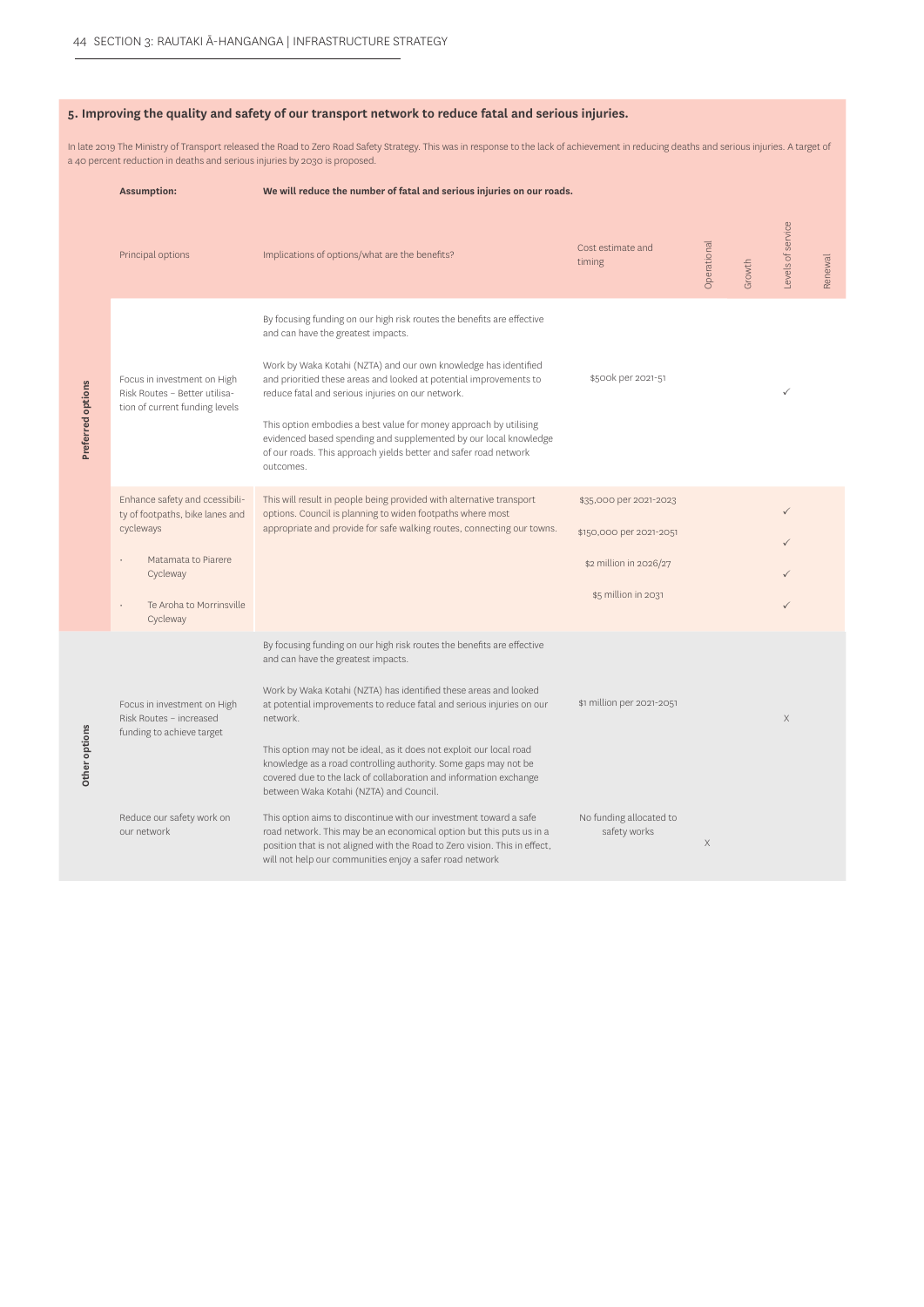#### **5. Improving the quality and safety of our transport network to reduce fatal and serious injuries.**

In late 2019 The Ministry of Transport released the Road to Zero Road Safety Strategy. This was in response to the lack of achievement in reducing deaths and serious injuries. A target of a 40 percent reduction in deaths and serious injuries by 2030 is proposed.

|                   | <b>Assumption:</b>                                                                                                                                        | We will reduce the number of fatal and serious injuries on our roads.                                                                                                                                                                                                                                                                                                                                                                                                                                                                |                                                                                                    |             |        |                   |         |
|-------------------|-----------------------------------------------------------------------------------------------------------------------------------------------------------|--------------------------------------------------------------------------------------------------------------------------------------------------------------------------------------------------------------------------------------------------------------------------------------------------------------------------------------------------------------------------------------------------------------------------------------------------------------------------------------------------------------------------------------|----------------------------------------------------------------------------------------------------|-------------|--------|-------------------|---------|
|                   | Principal options                                                                                                                                         | Implications of options/what are the benefits?                                                                                                                                                                                                                                                                                                                                                                                                                                                                                       | Cost estimate and<br>timing                                                                        | Operational | Growth | Levels of service | Renewal |
| Preferred options | Focus in investment on High<br>Risk Routes - Better utilisa-<br>tion of current funding levels                                                            | By focusing funding on our high risk routes the benefits are effective<br>and can have the greatest impacts.<br>Work by Waka Kotahi (NZTA) and our own knowledge has identified<br>and prioritied these areas and looked at potential improvements to<br>reduce fatal and serious injuries on our network.<br>This option embodies a best value for money approach by utilising<br>evidenced based spending and supplemented by our local knowledge<br>of our roads. This approach yields better and safer road network<br>outcomes. | \$500k per 2021-51                                                                                 |             |        |                   |         |
|                   | Enhance safety and ccessibili-<br>ty of footpaths, bike lanes and<br>cycleways<br>Matamata to Piarere<br>Cycleway<br>Te Aroha to Morrinsville<br>Cycleway | This will result in people being provided with alternative transport<br>options. Council is planning to widen footpaths where most<br>appropriate and provide for safe walking routes, connecting our towns.                                                                                                                                                                                                                                                                                                                         | \$35,000 per 2021-2023<br>\$150,000 per 2021-2051<br>\$2 million in 2026/27<br>\$5 million in 2031 |             |        | $\checkmark$      |         |
| Other options     | Focus in investment on High<br>Risk Routes - increased<br>funding to achieve target                                                                       | By focusing funding on our high risk routes the benefits are effective<br>and can have the greatest impacts.<br>Work by Waka Kotahi (NZTA) has identified these areas and looked<br>at potential improvements to reduce fatal and serious injuries on our<br>network.<br>This option may not be ideal, as it does not exploit our local road<br>knowledge as a road controlling authority. Some gaps may not be<br>covered due to the lack of collaboration and information exchange<br>between Waka Kotahi (NZTA) and Council.      | \$1 million per 2021-2051                                                                          |             |        | $\mathsf X$       |         |
|                   | Reduce our safety work on<br>our network                                                                                                                  | This option aims to discontinue with our investment toward a safe<br>road network. This may be an economical option but this puts us in a<br>position that is not aligned with the Road to Zero vision. This in effect,<br>will not help our communities enjoy a safer road network                                                                                                                                                                                                                                                  | No funding allocated to<br>safety works                                                            | $\times$    |        |                   |         |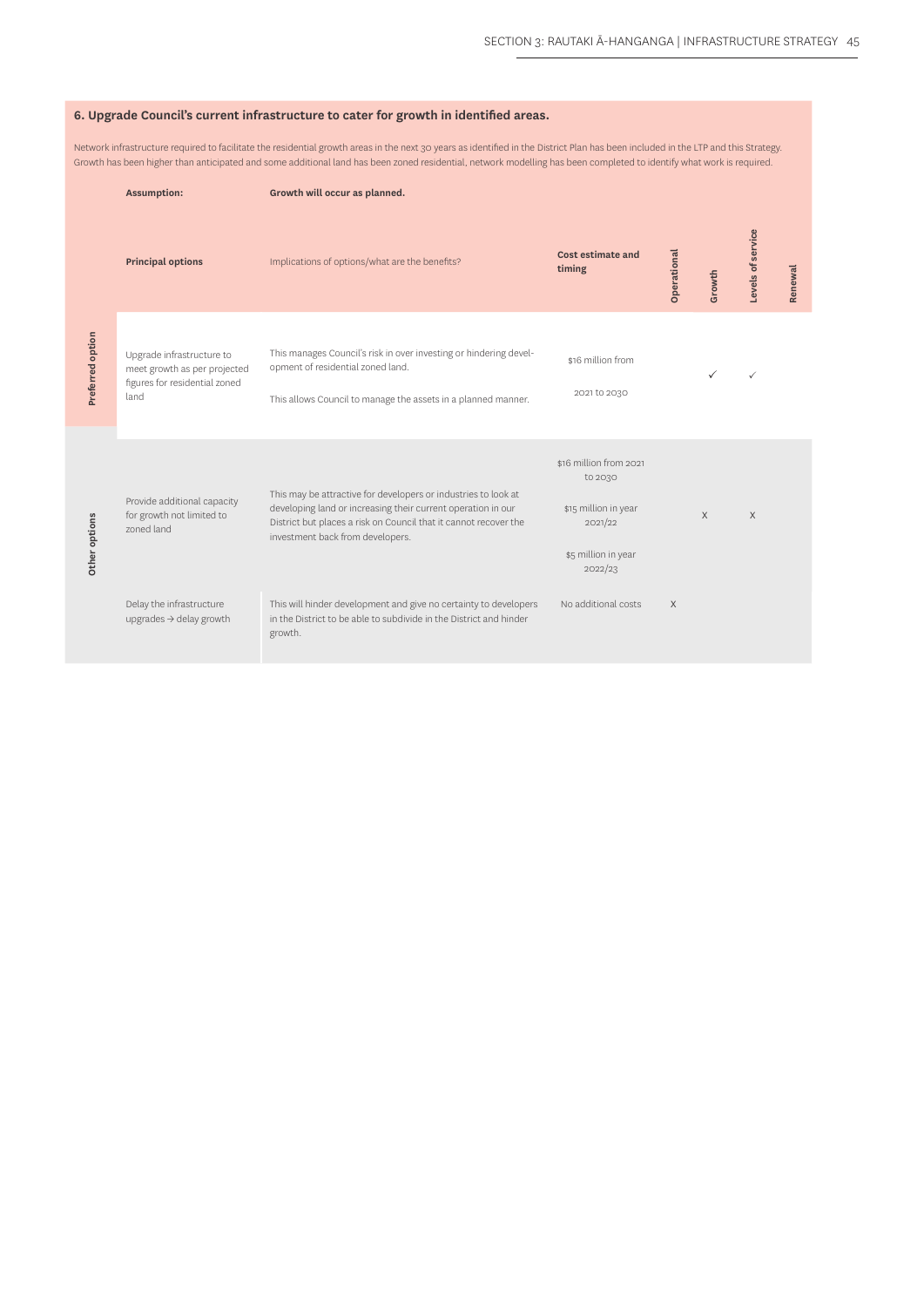| 6. Upgrade Council's current infrastructure to cater for growth in identified areas.                                                                                                                                                                                                                                                                       |                                                                                                    |                                                                                                                                                                                                                                        |                                                                                                        |             |        |                   |         |  |  |
|------------------------------------------------------------------------------------------------------------------------------------------------------------------------------------------------------------------------------------------------------------------------------------------------------------------------------------------------------------|----------------------------------------------------------------------------------------------------|----------------------------------------------------------------------------------------------------------------------------------------------------------------------------------------------------------------------------------------|--------------------------------------------------------------------------------------------------------|-------------|--------|-------------------|---------|--|--|
| Network infrastructure required to facilitate the residential growth areas in the next 30 years as identified in the District Plan has been included in the LTP and this Strategy.<br>Growth has been higher than anticipated and some additional land has been zoned residential, network modelling has been completed to identify what work is required. |                                                                                                    |                                                                                                                                                                                                                                        |                                                                                                        |             |        |                   |         |  |  |
| <b>Assumption:</b><br>Growth will occur as planned.                                                                                                                                                                                                                                                                                                        |                                                                                                    |                                                                                                                                                                                                                                        |                                                                                                        |             |        |                   |         |  |  |
|                                                                                                                                                                                                                                                                                                                                                            | <b>Principal options</b>                                                                           | Implications of options/what are the benefits?                                                                                                                                                                                         | Cost estimate and<br>timing                                                                            | Operational | Growth | Levels of service | Renewal |  |  |
| Preferred option                                                                                                                                                                                                                                                                                                                                           | Upgrade infrastructure to<br>meet growth as per projected<br>figures for residential zoned<br>land | This manages Council's risk in over investing or hindering devel-<br>opment of residential zoned land.<br>This allows Council to manage the assets in a planned manner.                                                                | \$16 million from<br>2021 to 2030                                                                      |             |        | ✓                 |         |  |  |
| Other options                                                                                                                                                                                                                                                                                                                                              | Provide additional capacity<br>for growth not limited to<br>zoned land                             | This may be attractive for developers or industries to look at<br>developing land or increasing their current operation in our<br>District but places a risk on Council that it cannot recover the<br>investment back from developers. | \$16 million from 2021<br>to 2030<br>\$15 million in year<br>2021/22<br>\$5 million in year<br>2022/23 |             | X      | X                 |         |  |  |
|                                                                                                                                                                                                                                                                                                                                                            | Delay the infrastructure<br>upgrades $\rightarrow$ delay growth                                    | This will hinder development and give no certainty to developers<br>in the District to be able to subdivide in the District and hinder<br>growth.                                                                                      | No additional costs                                                                                    | X           |        |                   |         |  |  |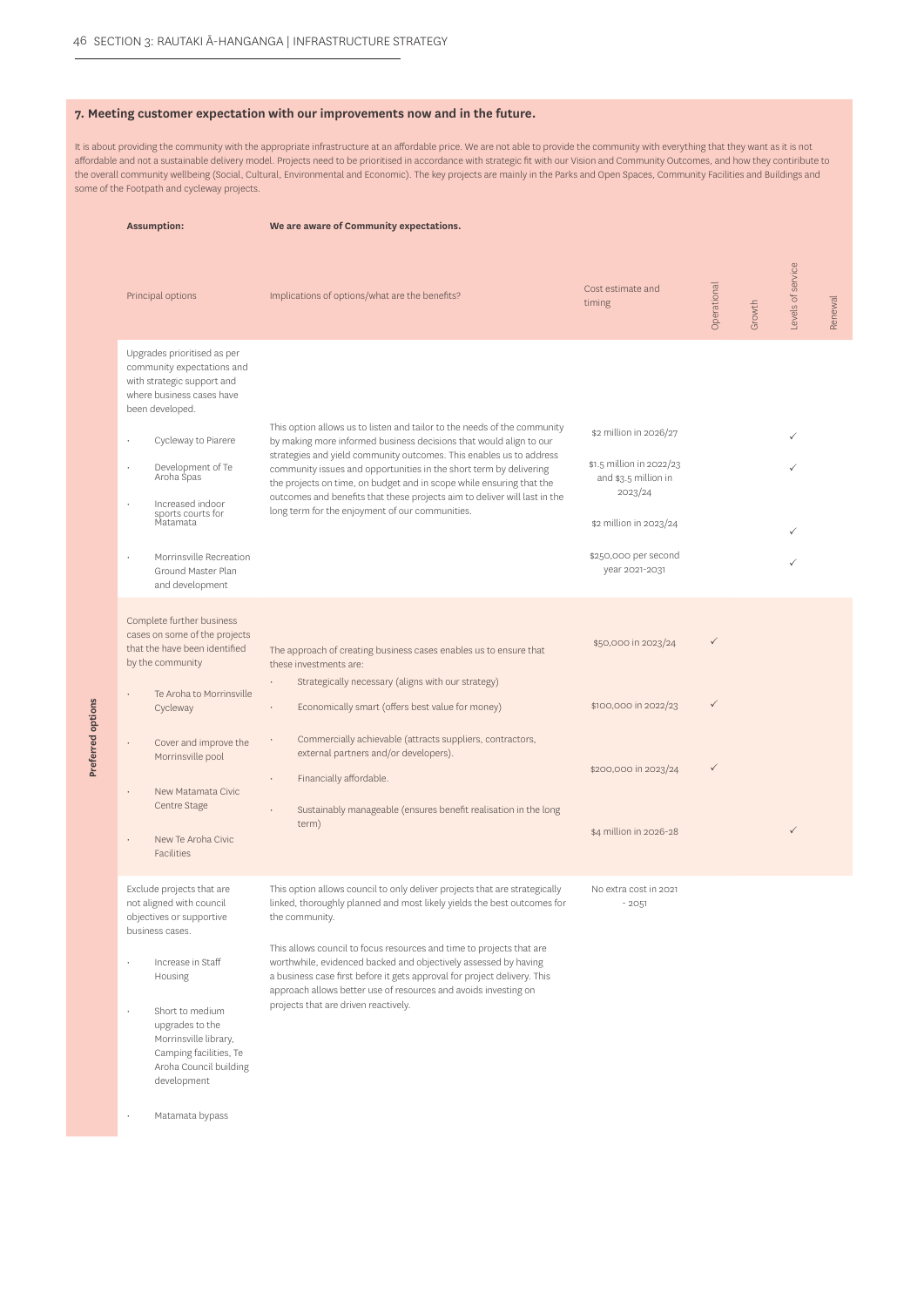**Preferred options**

Preferred options

#### **7. Meeting customer expectation with our improvements now and in the future.**

It is about providing the community with the appropriate infrastructure at an affordable price. We are not able to provide the community with everything that they want as it is not affordable and not a sustainable delivery model. Projects need to be prioritised in accordance with strategic fit with our Vision and Community Outcomes, and how they contiribute to the overall community wellbeing (Social, Cultural, Environmental and Economic). The key projects are mainly in the Parks and Open Spaces, Community Facilities and Buildings and some of the Footpath and cycleway projects.

| <b>Assumption:</b>                                                                                                                                                                                                                                                                                                         | We are aware of Community expectations.                                                                                                                                                                                                                                                                                                                                                                                                                                                                   |                                                                                                                                                           |             |        |                   |         |
|----------------------------------------------------------------------------------------------------------------------------------------------------------------------------------------------------------------------------------------------------------------------------------------------------------------------------|-----------------------------------------------------------------------------------------------------------------------------------------------------------------------------------------------------------------------------------------------------------------------------------------------------------------------------------------------------------------------------------------------------------------------------------------------------------------------------------------------------------|-----------------------------------------------------------------------------------------------------------------------------------------------------------|-------------|--------|-------------------|---------|
| Principal options                                                                                                                                                                                                                                                                                                          | Implications of options/what are the benefits?                                                                                                                                                                                                                                                                                                                                                                                                                                                            | Cost estimate and<br>timing                                                                                                                               | Operational | Growth | Levels of service | Renewal |
| Upgrades prioritised as per<br>community expectations and<br>with strategic support and<br>where business cases have<br>been developed.<br>Cycleway to Piarere<br>Development of Te<br>Aroha Spas<br>Increased indoor<br>sports courts for<br>Matamata<br>Morrinsville Recreation<br>Ground Master Plan<br>and development | This option allows us to listen and tailor to the needs of the community<br>by making more informed business decisions that would align to our<br>strategies and yield community outcomes. This enables us to address<br>community issues and opportunities in the short term by delivering<br>the projects on time, on budget and in scope while ensuring that the<br>outcomes and benefits that these projects aim to deliver will last in the<br>long term for the enjoyment of our communities.       | \$2 million in 2026/27<br>\$1.5 million in 2022/23<br>and \$3.5 million in<br>2023/24<br>\$2 million in 2023/24<br>\$250,000 per second<br>year 2021-2031 |             |        |                   |         |
| Complete further business<br>cases on some of the projects<br>that the have been identified<br>by the community<br>Te Aroha to Morrinsville<br>Cycleway<br>Cover and improve the<br>Morrinsville pool<br>New Matamata Civic<br>Centre Stage<br>New Te Aroha Civic<br>Facilities                                            | The approach of creating business cases enables us to ensure that<br>these investments are:<br>Strategically necessary (aligns with our strategy)<br>Economically smart (offers best value for money)<br>$\bullet$<br>Commercially achievable (attracts suppliers, contractors,<br>external partners and/or developers).<br>Financially affordable.<br>Sustainably manageable (ensures benefit realisation in the long<br>term)                                                                           | \$50,000 in 2023/24<br>\$100,000 in 2022/23<br>\$200,000 in 2023/24<br>\$4 million in 2026-28                                                             | ✓<br>✓      |        |                   |         |
| Exclude projects that are<br>not aligned with council<br>objectives or supportive<br>business cases.<br>Increase in Staff<br>Housing<br>Short to medium<br>upgrades to the<br>Morrinsville library,<br>Camping facilities, Te<br>Aroha Council building<br>development<br>Matamata bypass                                  | This option allows council to only deliver projects that are strategically<br>linked, thoroughly planned and most likely yields the best outcomes for<br>the community.<br>This allows council to focus resources and time to projects that are<br>worthwhile, evidenced backed and objectively assessed by having<br>a business case first before it gets approval for project delivery. This<br>approach allows better use of resources and avoids investing on<br>projects that are driven reactively. | No extra cost in 2021<br>$-2051$                                                                                                                          |             |        |                   |         |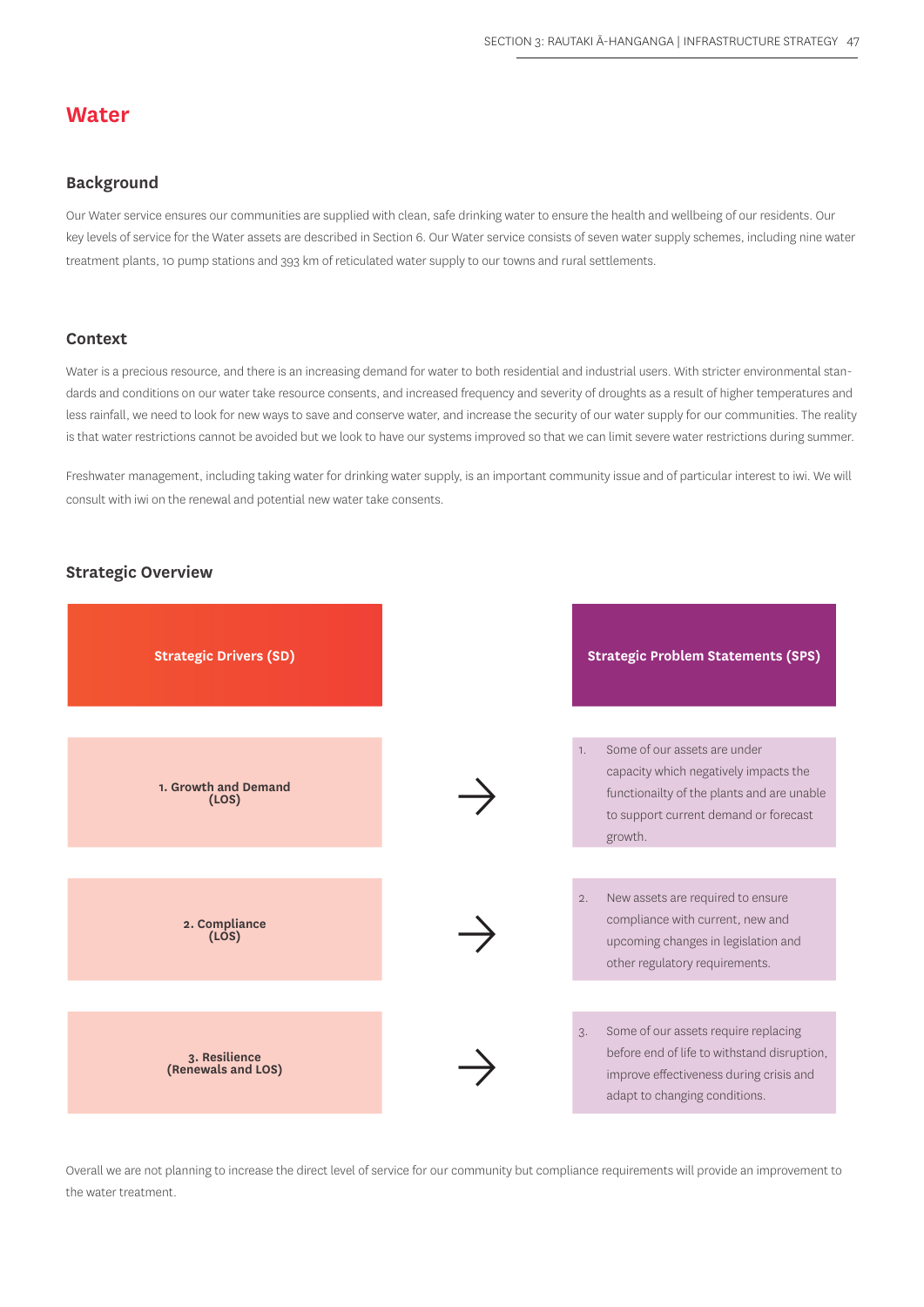## **Water**

## **Background**

Our Water service ensures our communities are supplied with clean, safe drinking water to ensure the health and wellbeing of our residents. Our key levels of service for the Water assets are described in Section 6. Our Water service consists of seven water supply schemes, including nine water treatment plants, 10 pump stations and 393 km of reticulated water supply to our towns and rural settlements.

#### **Context**

Water is a precious resource, and there is an increasing demand for water to both residential and industrial users. With stricter environmental standards and conditions on our water take resource consents, and increased frequency and severity of droughts as a result of higher temperatures and less rainfall, we need to look for new ways to save and conserve water, and increase the security of our water supply for our communities. The reality is that water restrictions cannot be avoided but we look to have our systems improved so that we can limit severe water restrictions during summer.

Freshwater management, including taking water for drinking water supply, is an important community issue and of particular interest to iwi. We will consult with iwi on the renewal and potential new water take consents.

### **Strategic Overview**



Overall we are not planning to increase the direct level of service for our community but compliance requirements will provide an improvement to the water treatment.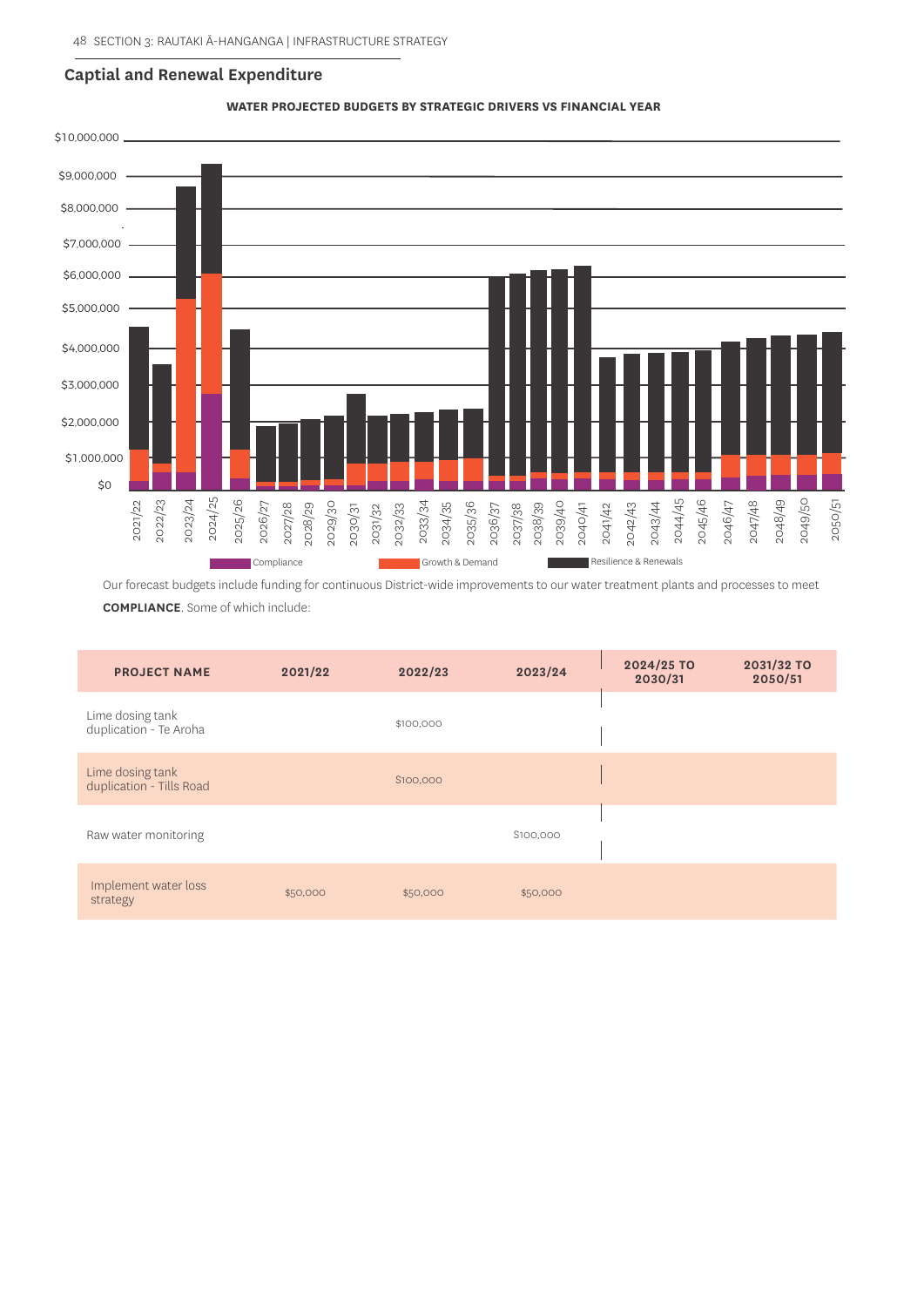#### **Captial and Renewal Expenditure**



**WATER PROJECTED BUDGETS BY STRATEGIC DRIVERS VS FINANCIAL YEAR**

Our forecast budgets include funding for continuous District-wide improvements to our water treatment plants and processes to meet

**COMPLIANCE**. Some of which include:

| <b>PROJECT NAME</b>                          | 2021/22  | 2022/23   | 2023/24  | 2024/25 TO<br>2030/31 | 2031/32 TO<br>2050/51 |
|----------------------------------------------|----------|-----------|----------|-----------------------|-----------------------|
| Lime dosing tank<br>duplication - Te Aroha   |          | \$100,000 |          |                       |                       |
| Lime dosing tank<br>duplication - Tills Road |          | S100,000  |          |                       |                       |
| Raw water monitoring                         |          |           | S100,000 |                       |                       |
| Implement water loss<br>strategy             | \$50,000 | \$50,000  | \$50,000 |                       |                       |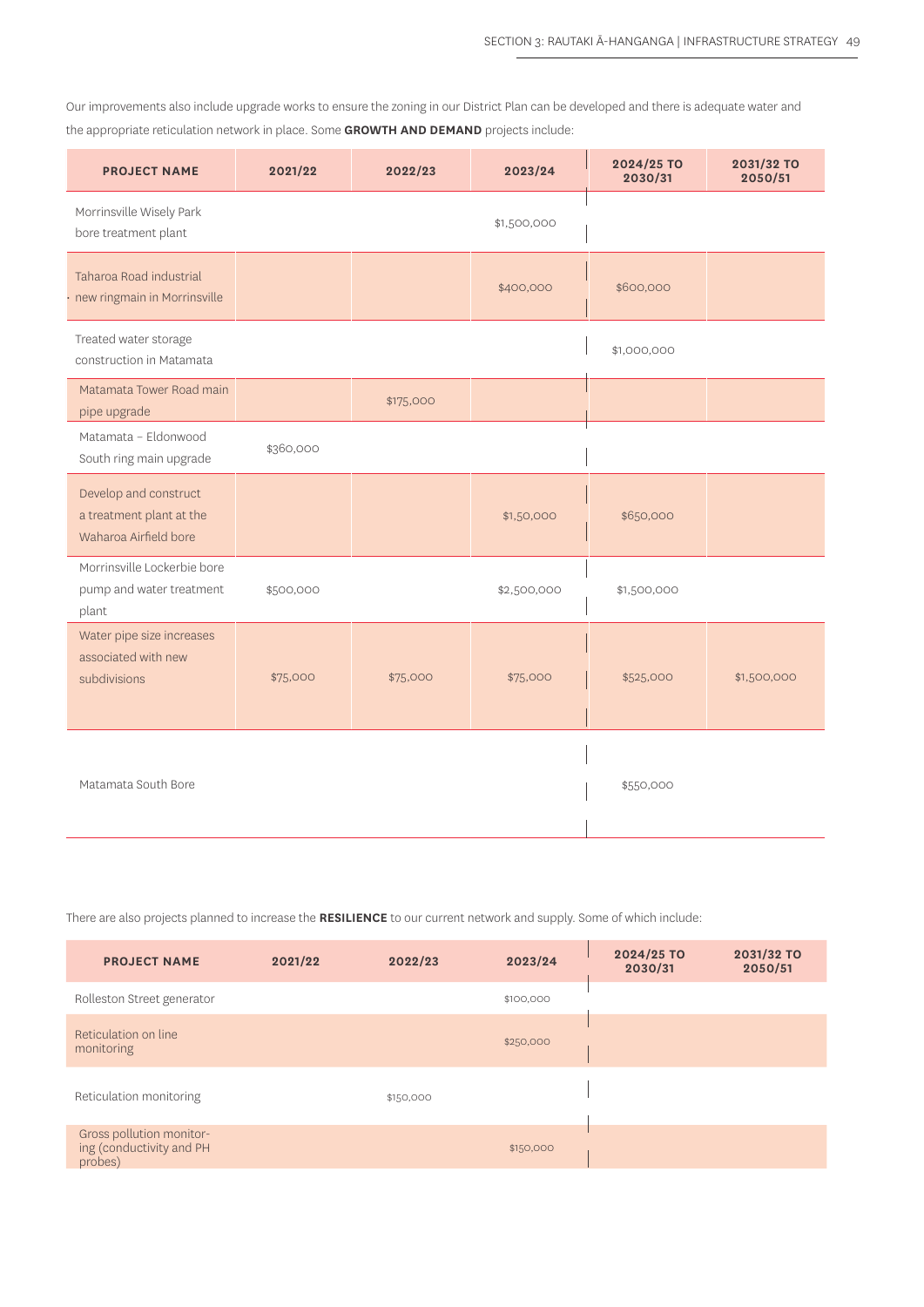Our improvements also include upgrade works to ensure the zoning in our District Plan can be developed and there is adequate water and the appropriate reticulation network in place. Some **GROWTH AND DEMAND** projects include:

| <b>PROJECT NAME</b>                                                        | 2021/22   | 2022/23   | 2023/24     | 2024/25 TO<br>2030/31 | 2031/32 TO<br>2050/51 |
|----------------------------------------------------------------------------|-----------|-----------|-------------|-----------------------|-----------------------|
| Morrinsville Wisely Park<br>bore treatment plant                           |           |           | \$1,500,000 |                       |                       |
| Taharoa Road industrial<br>· new ringmain in Morrinsville                  |           |           | \$400,000   | \$600,000             |                       |
| Treated water storage<br>construction in Matamata                          |           |           |             | \$1,000,000           |                       |
| Matamata Tower Road main<br>pipe upgrade                                   |           | \$175,000 |             |                       |                       |
| Matamata - Eldonwood<br>South ring main upgrade                            | \$360,000 |           |             |                       |                       |
| Develop and construct<br>a treatment plant at the<br>Waharoa Airfield bore |           |           | \$1,50,000  | \$650,000             |                       |
| Morrinsville Lockerbie bore<br>pump and water treatment<br>plant           | \$500,000 |           | \$2,500,000 | \$1,500,000           |                       |
| Water pipe size increases<br>associated with new<br>subdivisions           | \$75,000  | \$75,000  | \$75,000    | \$525,000             | \$1,500,000           |
| Matamata South Bore                                                        |           |           |             | \$550,000             |                       |

There are also projects planned to increase the **RESILIENCE** to our current network and supply. Some of which include:

| <b>PROJECT NAME</b>                                             | 2021/22 | 2022/23   | 2023/24   | 2024/25 TO<br>2030/31 | 2031/32 TO<br>2050/51 |
|-----------------------------------------------------------------|---------|-----------|-----------|-----------------------|-----------------------|
| Rolleston Street generator                                      |         |           | \$100,000 |                       |                       |
| Reticulation on line<br>monitoring                              |         |           | \$250,000 |                       |                       |
| Reticulation monitoring                                         |         | \$150,000 |           |                       |                       |
| Gross pollution monitor-<br>ing (conductivity and PH<br>probes) |         |           | \$150,000 |                       |                       |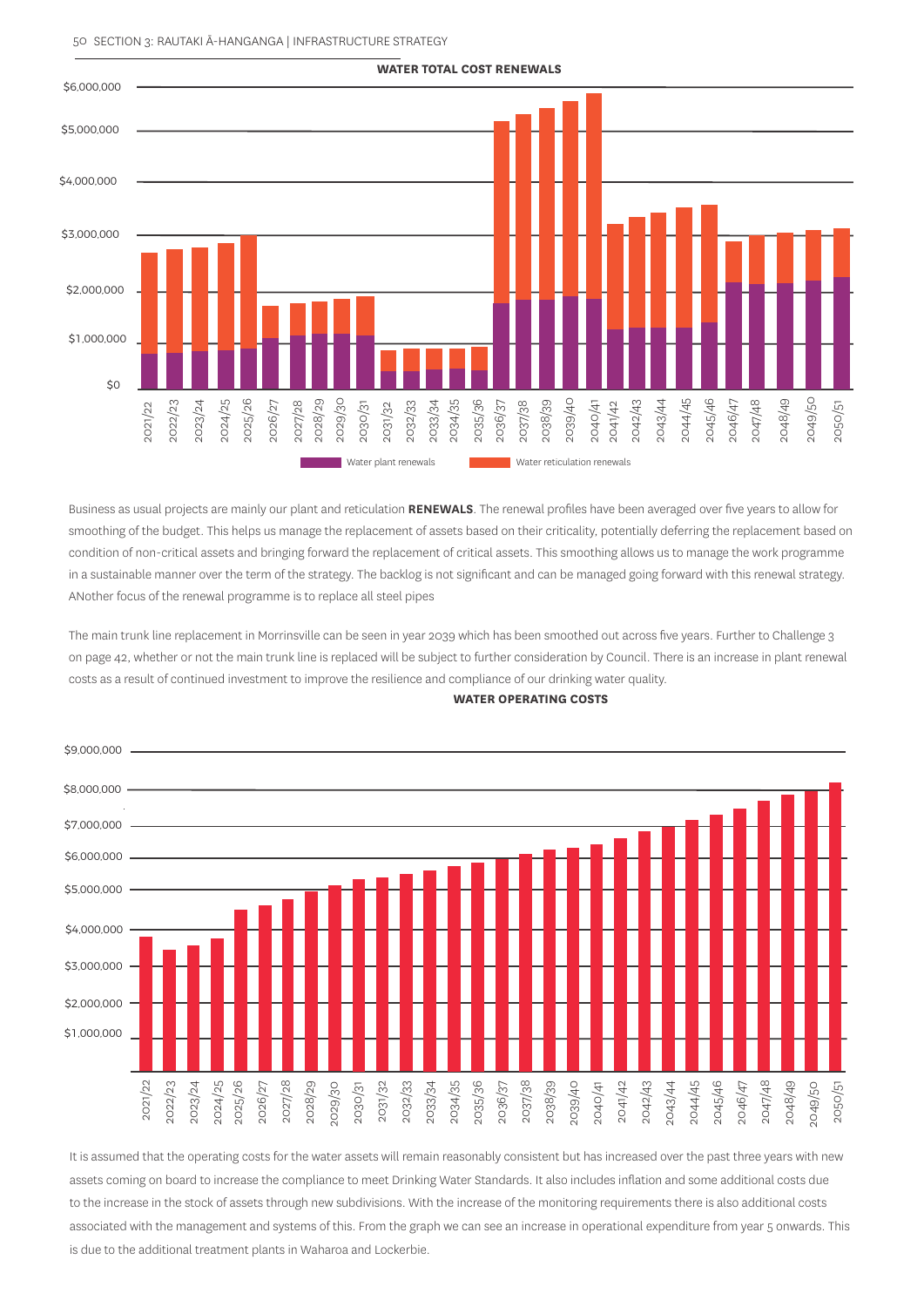#### 50 SECTION 3: RAUTAKI Ā-HANGANGA | INFRASTRUCTURE STRATEGY



Business as usual projects are mainly our plant and reticulation **RENEWALS**. The renewal profiles have been averaged over five years to allow for smoothing of the budget. This helps us manage the replacement of assets based on their criticality, potentially deferring the replacement based on condition of non-critical assets and bringing forward the replacement of critical assets. This smoothing allows us to manage the work programme in a sustainable manner over the term of the strategy. The backlog is not significant and can be managed going forward with this renewal strategy. ANother focus of the renewal programme is to replace all steel pipes

The main trunk line replacement in Morrinsville can be seen in year 2039 which has been smoothed out across five years. Further to Challenge 3 on page 42, whether or not the main trunk line is replaced will be subject to further consideration by Council. There is an increase in plant renewal costs as a result of continued investment to improve the resilience and compliance of our drinking water quality.



**WATER OPERATING COSTS**

It is assumed that the operating costs for the water assets will remain reasonably consistent but has increased over the past three years with new assets coming on board to increase the compliance to meet Drinking Water Standards. It also includes inflation and some additional costs due to the increase in the stock of assets through new subdivisions. With the increase of the monitoring requirements there is also additional costs associated with the management and systems of this. From the graph we can see an increase in operational expenditure from year 5 onwards. This is due to the additional treatment plants in Waharoa and Lockerbie.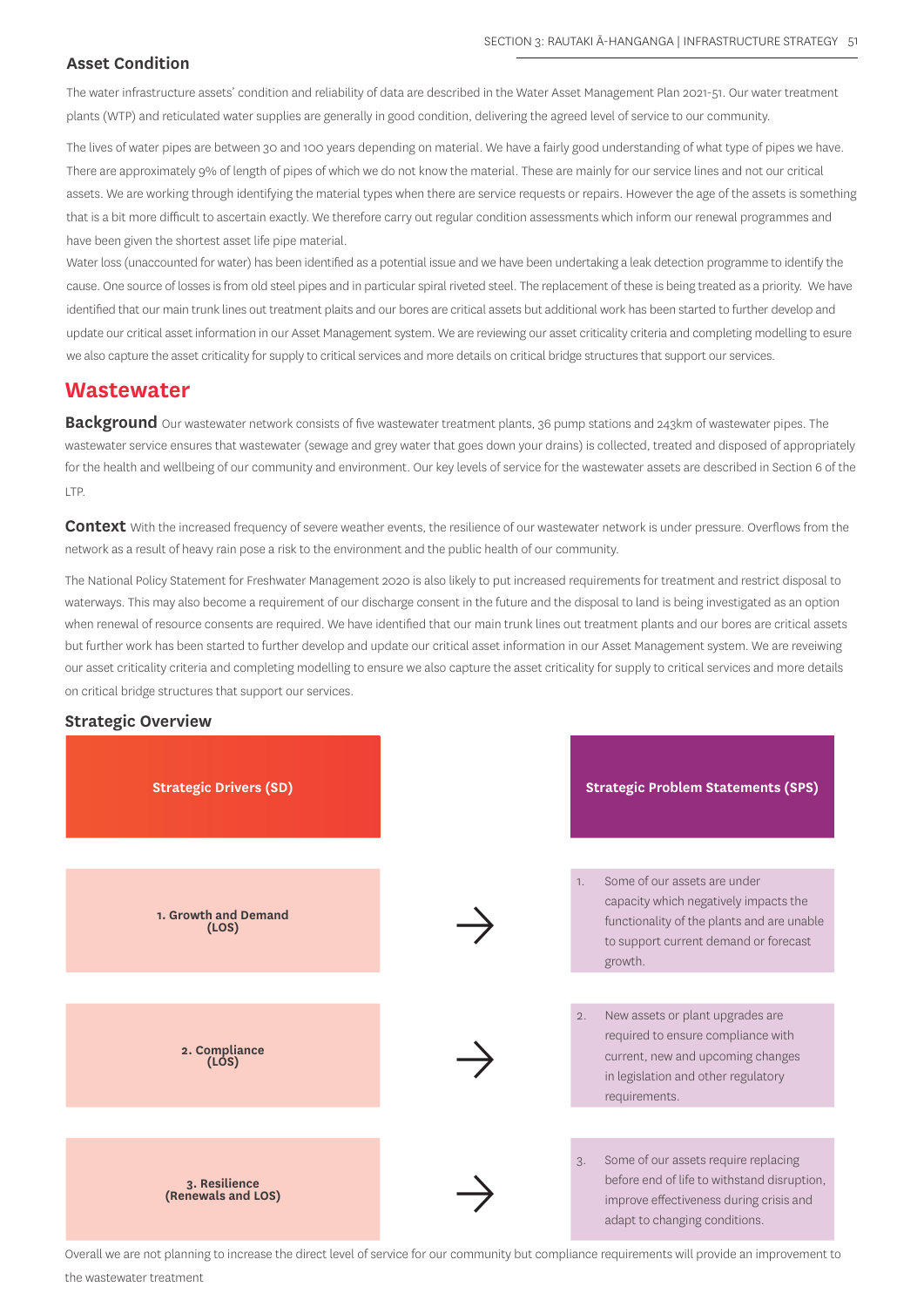## **Asset Condition**

The water infrastructure assets' condition and reliability of data are described in the Water Asset Management Plan 2021-51. Our water treatment plants (WTP) and reticulated water supplies are generally in good condition, delivering the agreed level of service to our community.

The lives of water pipes are between 30 and 100 years depending on material. We have a fairly good understanding of what type of pipes we have. There are approximately 9% of length of pipes of which we do not know the material. These are mainly for our service lines and not our critical assets. We are working through identifying the material types when there are service requests or repairs. However the age of the assets is something that is a bit more difficult to ascertain exactly. We therefore carry out regular condition assessments which inform our renewal programmes and have been given the shortest asset life pipe material.

Water loss (unaccounted for water) has been identified as a potential issue and we have been undertaking a leak detection programme to identify the cause. One source of losses is from old steel pipes and in particular spiral riveted steel. The replacement of these is being treated as a priority. We have identified that our main trunk lines out treatment plaits and our bores are critical assets but additional work has been started to further develop and update our critical asset information in our Asset Management system. We are reviewing our asset criticality criteria and completing modelling to esure we also capture the asset criticality for supply to critical services and more details on critical bridge structures that support our services.

## **Wastewater**

**Background** Our wastewater network consists of five wastewater treatment plants, 36 pump stations and 243km of wastewater pipes. The wastewater service ensures that wastewater (sewage and grey water that goes down your drains) is collected, treated and disposed of appropriately for the health and wellbeing of our community and environment. Our key levels of service for the wastewater assets are described in Section 6 of the LTP.

**Context** With the increased frequency of severe weather events, the resilience of our wastewater network is under pressure. Overflows from the network as a result of heavy rain pose a risk to the environment and the public health of our community.

The National Policy Statement for Freshwater Management 2020 is also likely to put increased requirements for treatment and restrict disposal to waterways. This may also become a requirement of our discharge consent in the future and the disposal to land is being investigated as an option when renewal of resource consents are required. We have identified that our main trunk lines out treatment plants and our bores are critical assets but further work has been started to further develop and update our critical asset information in our Asset Management system. We are reveiwing our asset criticality criteria and completing modelling to ensure we also capture the asset criticality for supply to critical services and more details on critical bridge structures that support our services.

## **Strategic Overview**



Overall we are not planning to increase the direct level of service for our community but compliance requirements will provide an improvement to the wastewater treatment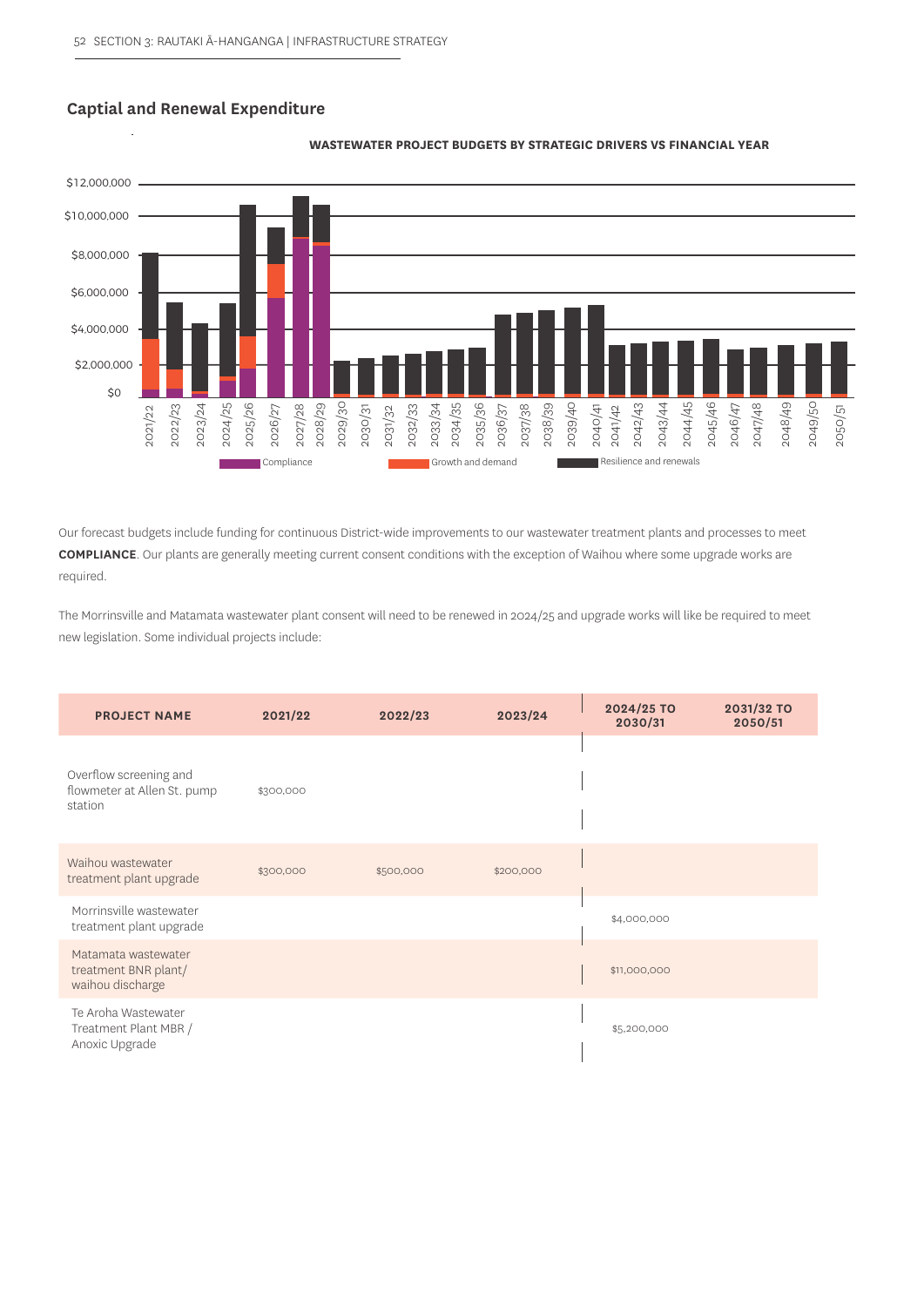## **Captial and Renewal Expenditure**



#### **WASTEWATER PROJECT BUDGETS BY STRATEGIC DRIVERS VS FINANCIAL YEAR**

Our forecast budgets include funding for continuous District-wide improvements to our wastewater treatment plants and processes to meet **COMPLIANCE**. Our plants are generally meeting current consent conditions with the exception of Waihou where some upgrade works are required.

The Morrinsville and Matamata wastewater plant consent will need to be renewed in 2024/25 and upgrade works will like be required to meet new legislation. Some individual projects include:

| <b>PROJECT NAME</b>                                              | 2021/22   | 2022/23   | 2023/24   | 2024/25 TO<br>2030/31 | 2031/32 TO<br>2050/51 |
|------------------------------------------------------------------|-----------|-----------|-----------|-----------------------|-----------------------|
| Overflow screening and<br>flowmeter at Allen St. pump<br>station | \$300,000 |           |           |                       |                       |
| Waihou wastewater<br>treatment plant upgrade                     | \$300,000 | \$500,000 | \$200,000 |                       |                       |
| Morrinsville wastewater<br>treatment plant upgrade               |           |           |           | \$4,000,000           |                       |
| Matamata wastewater<br>treatment BNR plant/<br>waihou discharge  |           |           |           | \$11,000,000          |                       |
| Te Aroha Wastewater<br>Treatment Plant MBR /<br>Anoxic Upgrade   |           |           |           | \$5,200,000           |                       |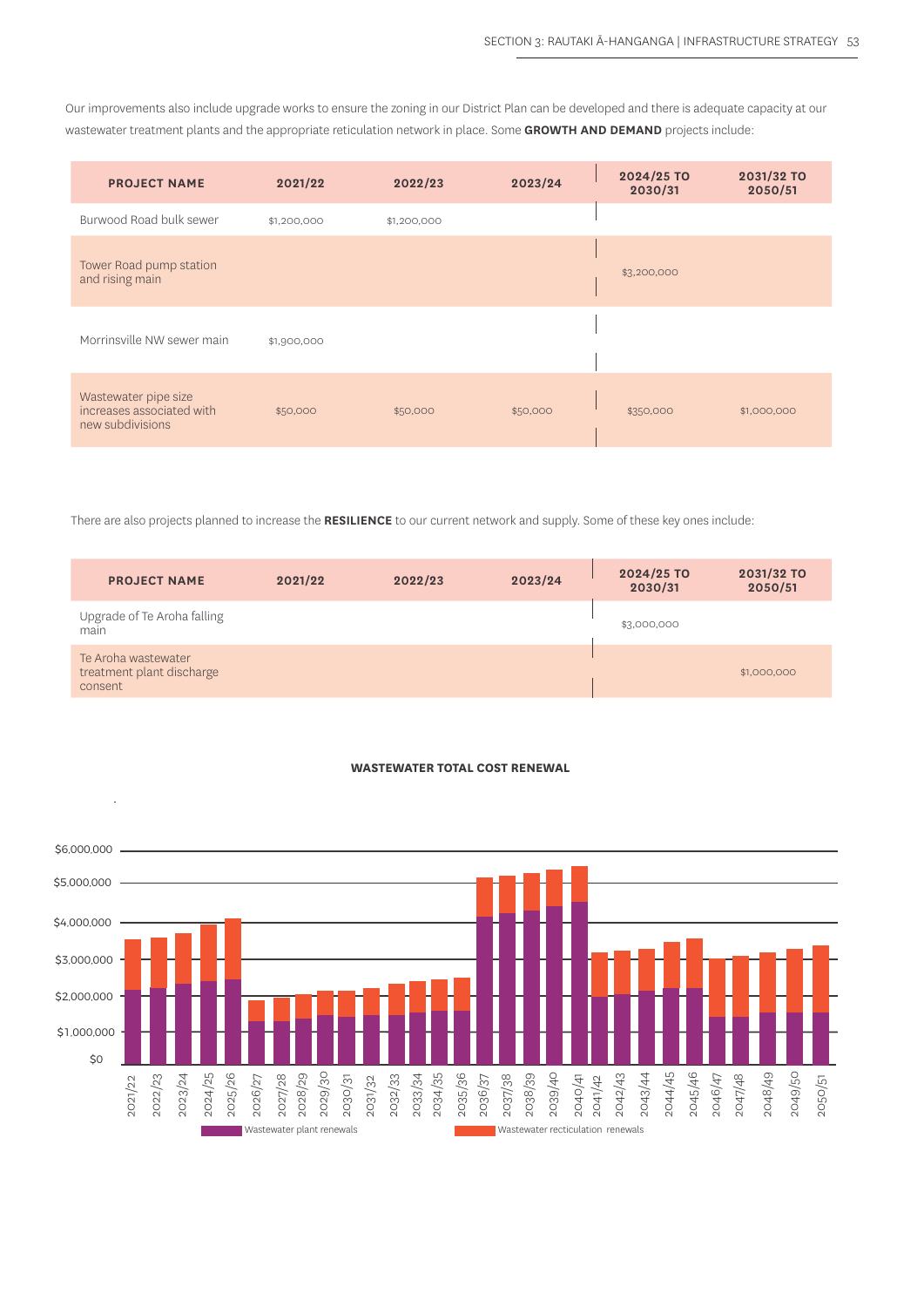Our improvements also include upgrade works to ensure the zoning in our District Plan can be developed and there is adequate capacity at our wastewater treatment plants and the appropriate reticulation network in place. Some **GROWTH AND DEMAND** projects include:

| <b>PROJECT NAME</b>                                                   | 2021/22     | 2022/23     | 2023/24  | 2024/25 TO<br>2030/31 | 2031/32 TO<br>2050/51 |
|-----------------------------------------------------------------------|-------------|-------------|----------|-----------------------|-----------------------|
| Burwood Road bulk sewer                                               | \$1,200,000 | \$1,200,000 |          |                       |                       |
| Tower Road pump station<br>and rising main                            |             |             |          | \$3,200,000           |                       |
| Morrinsville NW sewer main                                            | \$1,900,000 |             |          |                       |                       |
| Wastewater pipe size<br>increases associated with<br>new subdivisions | \$50,000    | \$50,000    | \$50,000 | \$350,000             | \$1,000,000           |

There are also projects planned to increase the **RESILIENCE** to our current network and supply. Some of these key ones include:

| <b>PROJECT NAME</b>                                         | 2021/22 | 2022/23 | 2023/24 | 2024/25 TO<br>2030/31 | 2031/32 TO<br>2050/51 |
|-------------------------------------------------------------|---------|---------|---------|-----------------------|-----------------------|
| Upgrade of Te Aroha falling<br>main                         |         |         |         | \$3,000,000           |                       |
| Te Aroha wastewater<br>treatment plant discharge<br>consent |         |         |         |                       | \$1,000,000           |

#### **WASTEWATER TOTAL COST RENEWAL**

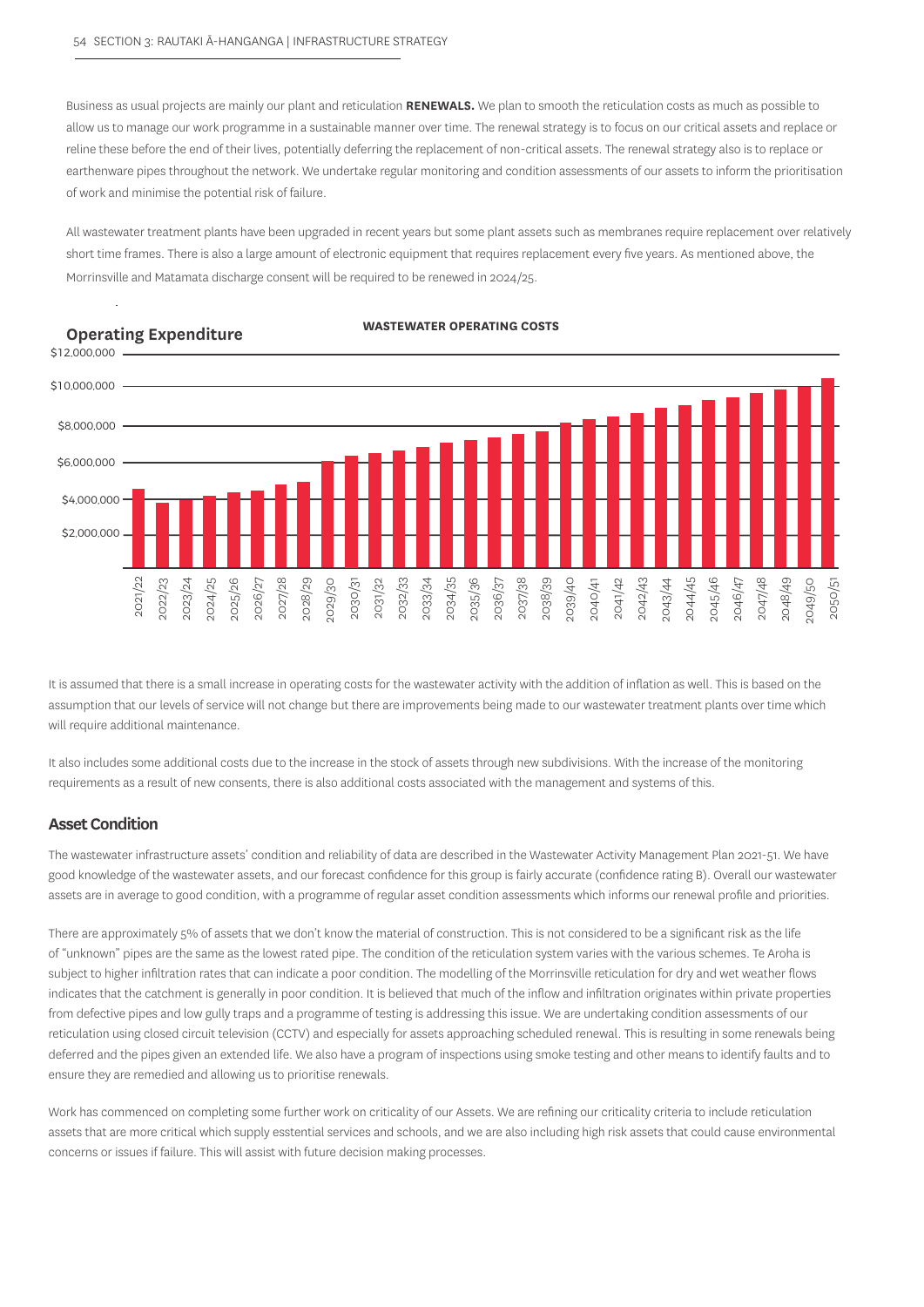Business as usual projects are mainly our plant and reticulation **RENEWALS.** We plan to smooth the reticulation costs as much as possible to allow us to manage our work programme in a sustainable manner over time. The renewal strategy is to focus on our critical assets and replace or reline these before the end of their lives, potentially deferring the replacement of non-critical assets. The renewal strategy also is to replace or earthenware pipes throughout the network. We undertake regular monitoring and condition assessments of our assets to inform the prioritisation of work and minimise the potential risk of failure.

All wastewater treatment plants have been upgraded in recent years but some plant assets such as membranes require replacement over relatively short time frames. There is also a large amount of electronic equipment that requires replacement every five years. As mentioned above, the Morrinsville and Matamata discharge consent will be required to be renewed in 2024/25.

#### **Operating Expenditure**





It is assumed that there is a small increase in operating costs for the wastewater activity with the addition of inflation as well. This is based on the assumption that our levels of service will not change but there are improvements being made to our wastewater treatment plants over time which will require additional maintenance.

It also includes some additional costs due to the increase in the stock of assets through new subdivisions. With the increase of the monitoring requirements as a result of new consents, there is also additional costs associated with the management and systems of this.

## **Asset Condition**

The wastewater infrastructure assets' condition and reliability of data are described in the Wastewater Activity Management Plan 2021-51. We have good knowledge of the wastewater assets, and our forecast confidence for this group is fairly accurate (confidence rating B). Overall our wastewater assets are in average to good condition, with a programme of regular asset condition assessments which informs our renewal profile and priorities.

There are approximately 5% of assets that we don't know the material of construction. This is not considered to be a significant risk as the life of "unknown" pipes are the same as the lowest rated pipe. The condition of the reticulation system varies with the various schemes. Te Aroha is subject to higher infiltration rates that can indicate a poor condition. The modelling of the Morrinsville reticulation for dry and wet weather flows indicates that the catchment is generally in poor condition. It is believed that much of the inflow and infiltration originates within private properties from defective pipes and low gully traps and a programme of testing is addressing this issue. We are undertaking condition assessments of our reticulation using closed circuit television (CCTV) and especially for assets approaching scheduled renewal. This is resulting in some renewals being deferred and the pipes given an extended life. We also have a program of inspections using smoke testing and other means to identify faults and to ensure they are remedied and allowing us to prioritise renewals.

Work has commenced on completing some further work on criticality of our Assets. We are refining our criticality criteria to include reticulation assets that are more critical which supply esstential services and schools, and we are also including high risk assets that could cause environmental concerns or issues if failure. This will assist with future decision making processes.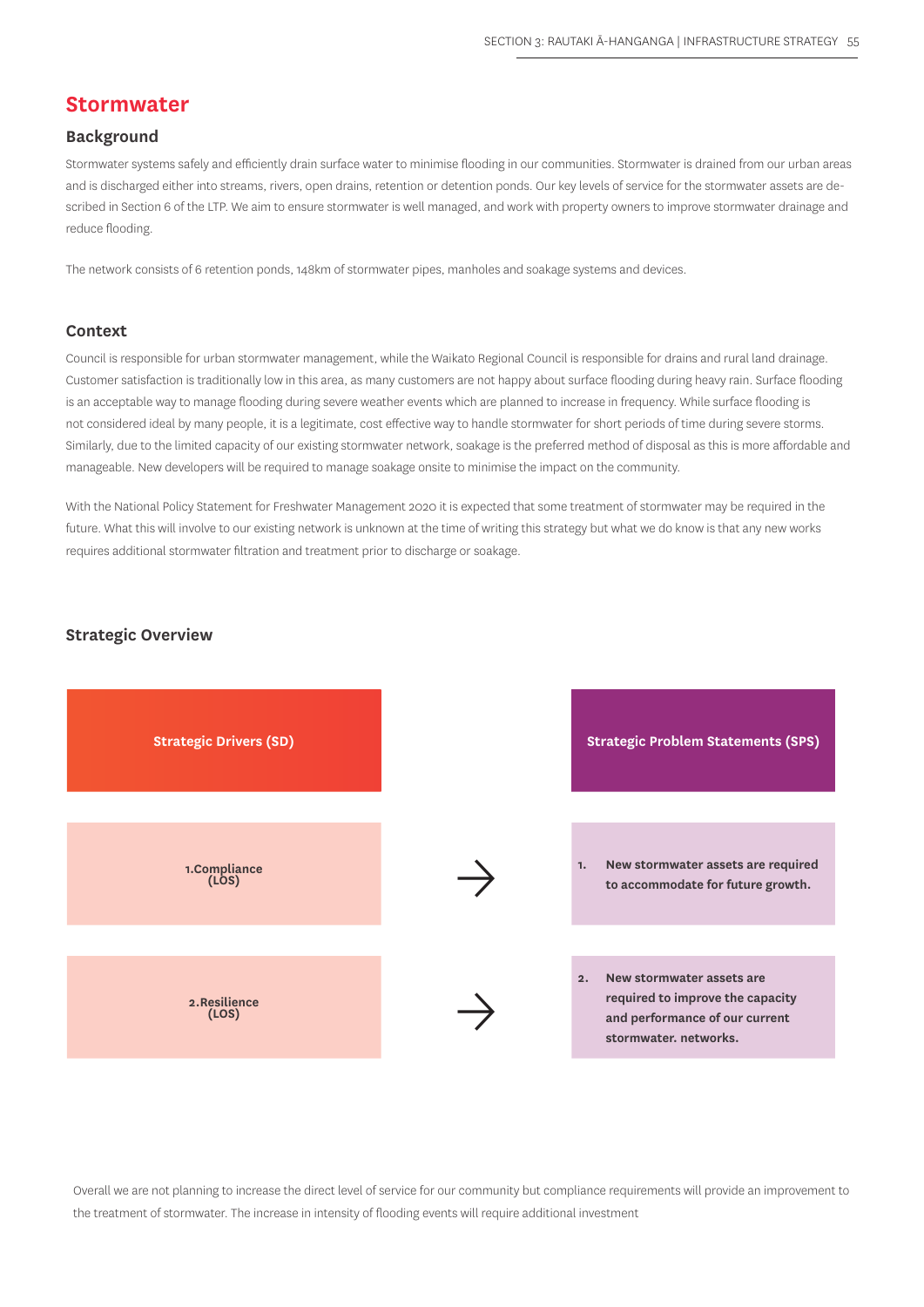## **Stormwater**

## **Background**

Stormwater systems safely and efficiently drain surface water to minimise flooding in our communities. Stormwater is drained from our urban areas and is discharged either into streams, rivers, open drains, retention or detention ponds. Our key levels of service for the stormwater assets are described in Section 6 of the LTP. We aim to ensure stormwater is well managed, and work with property owners to improve stormwater drainage and reduce flooding.

The network consists of 6 retention ponds, 148km of stormwater pipes, manholes and soakage systems and devices.

#### **Context**

Council is responsible for urban stormwater management, while the Waikato Regional Council is responsible for drains and rural land drainage. Customer satisfaction is traditionally low in this area, as many customers are not happy about surface flooding during heavy rain. Surface flooding is an acceptable way to manage flooding during severe weather events which are planned to increase in frequency. While surface flooding is not considered ideal by many people, it is a legitimate, cost effective way to handle stormwater for short periods of time during severe storms. Similarly, due to the limited capacity of our existing stormwater network, soakage is the preferred method of disposal as this is more affordable and manageable. New developers will be required to manage soakage onsite to minimise the impact on the community.

With the National Policy Statement for Freshwater Management 2020 it is expected that some treatment of stormwater may be required in the future. What this will involve to our existing network is unknown at the time of writing this strategy but what we do know is that any new works requires additional stormwater filtration and treatment prior to discharge or soakage.

#### **Strategic Overview**



Overall we are not planning to increase the direct level of service for our community but compliance requirements will provide an improvement to the treatment of stormwater. The increase in intensity of flooding events will require additional investment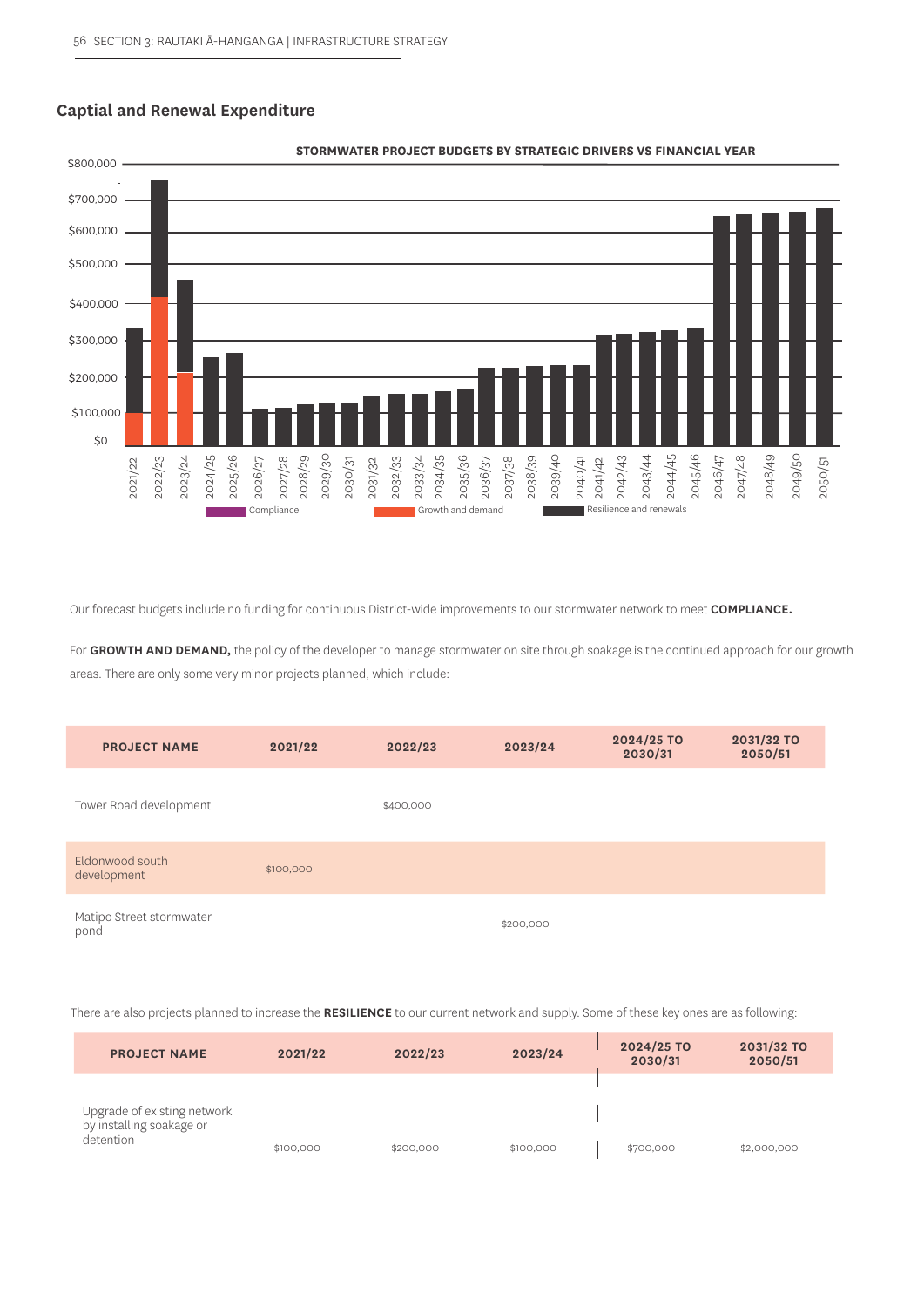## **Captial and Renewal Expenditure**



#### **STORMWATER PROJECT BUDGETS BY STRATEGIC DRIVERS VS FINANCIAL YEAR**

| 2024/25<br>2023/24<br>2022/23<br>2021/22                                                                                                                                                                                                                                                                                                              | 2029/30<br>2025/26<br>2028/29<br>2027/28<br>2030/31<br>2026/27<br>Compliance | 2035/36<br>2034/35<br>2032/33<br>2033/34<br>2031/32<br>Growth and demand | 2039/40<br>2038/39<br>2036/37<br>2037/38<br>2040/41 | 2043/44<br>2044/45<br>2045/46<br>2042/43<br>2041/42<br>Resilience and renewals | 2048/49<br>2049/50<br>2046/47<br>2047/48<br>2050/51 |
|-------------------------------------------------------------------------------------------------------------------------------------------------------------------------------------------------------------------------------------------------------------------------------------------------------------------------------------------------------|------------------------------------------------------------------------------|--------------------------------------------------------------------------|-----------------------------------------------------|--------------------------------------------------------------------------------|-----------------------------------------------------|
| Our forecast budgets include no funding for continuous District-wide improvements to our stormwater network to meet COMPLIANCE.<br>For GROWTH AND DEMAND, the policy of the developer to manage stormwater on site through soakage is the continued approach for our growth<br>areas. There are only some very minor projects planned, which include: |                                                                              |                                                                          |                                                     |                                                                                |                                                     |
| <b>PROJECT NAME</b>                                                                                                                                                                                                                                                                                                                                   | 2021/22                                                                      | 2022/23                                                                  | 2023/24                                             | 2024/25 TO<br>2030/31                                                          | 2031/32 TO<br>2050/51                               |
| Tower Road development                                                                                                                                                                                                                                                                                                                                |                                                                              | \$400,000                                                                |                                                     |                                                                                |                                                     |
| Eldonwood south<br>development                                                                                                                                                                                                                                                                                                                        | \$100,000                                                                    |                                                                          |                                                     |                                                                                |                                                     |
| Matipo Street stormwater<br>pond                                                                                                                                                                                                                                                                                                                      |                                                                              |                                                                          | \$200,000                                           |                                                                                |                                                     |
| There are also projects planned to increase the RESILIENCE to our current network and supply. Some of these key ones are as following:                                                                                                                                                                                                                |                                                                              |                                                                          |                                                     |                                                                                |                                                     |

| <b>PROJECT NAME</b>                                                  | 2021/22   | 2022/23   | 2023/24   | 2024/25 TO<br>2030/31 | 2031/32 TO<br>2050/51 |
|----------------------------------------------------------------------|-----------|-----------|-----------|-----------------------|-----------------------|
|                                                                      |           |           |           |                       |                       |
| Upgrade of existing network<br>by installing soakage or<br>detention | \$100,000 | \$200,000 | \$100,000 | \$700,000             | \$2,000,000           |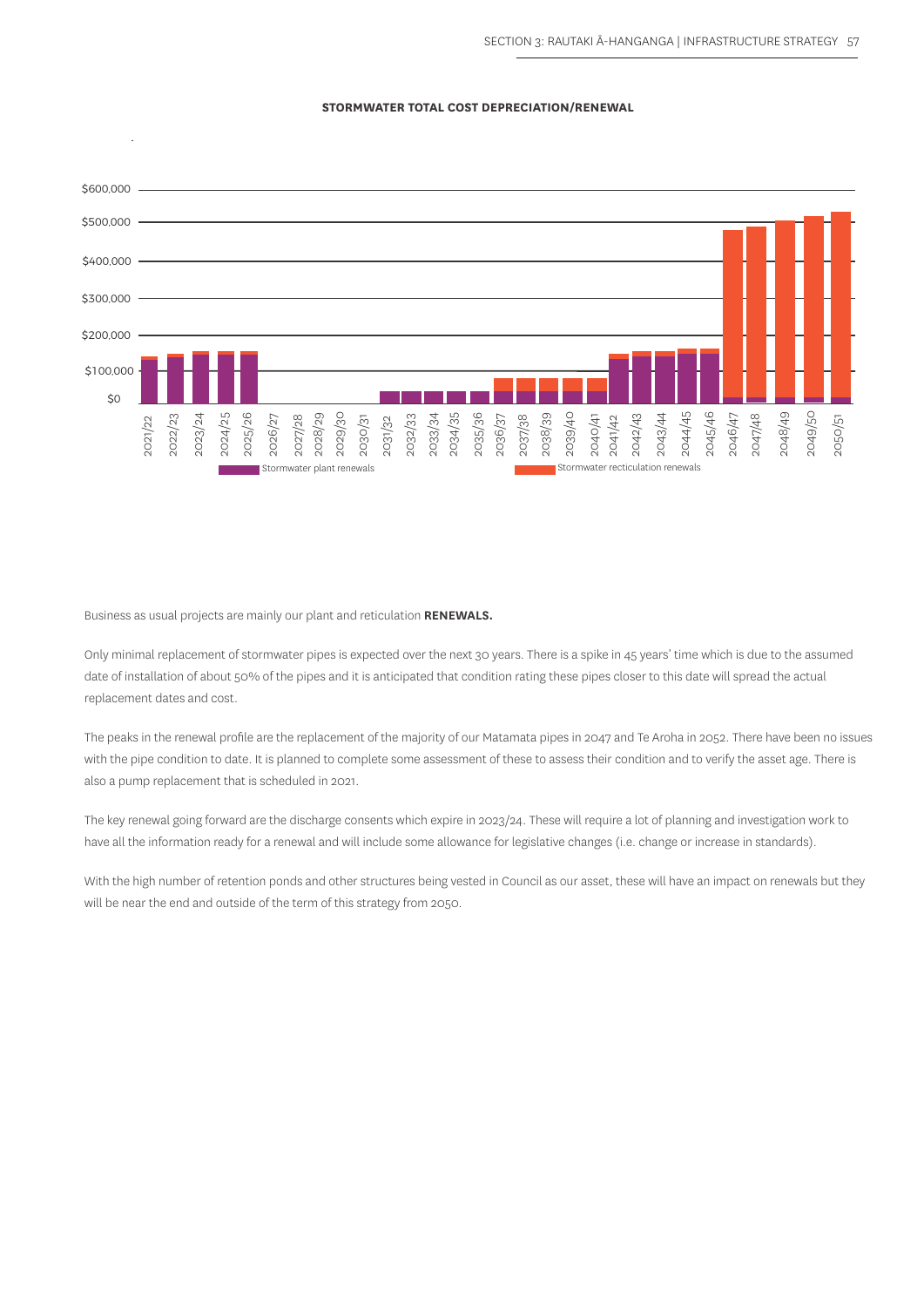#### **STORMWATER TOTAL COST DEPRECIATION/RENEWAL**



Business as usual projects are mainly our plant and reticulation **RENEWALS.** 

Only minimal replacement of stormwater pipes is expected over the next 30 years. There is a spike in 45 years' time which is due to the assumed date of installation of about 50% of the pipes and it is anticipated that condition rating these pipes closer to this date will spread the actual replacement dates and cost.

The peaks in the renewal profile are the replacement of the majority of our Matamata pipes in 2047 and Te Aroha in 2052. There have been no issues with the pipe condition to date. It is planned to complete some assessment of these to assess their condition and to verify the asset age. There is also a pump replacement that is scheduled in 2021.

The key renewal going forward are the discharge consents which expire in 2023/24. These will require a lot of planning and investigation work to have all the information ready for a renewal and will include some allowance for legislative changes (i.e. change or increase in standards).

With the high number of retention ponds and other structures being vested in Council as our asset, these will have an impact on renewals but they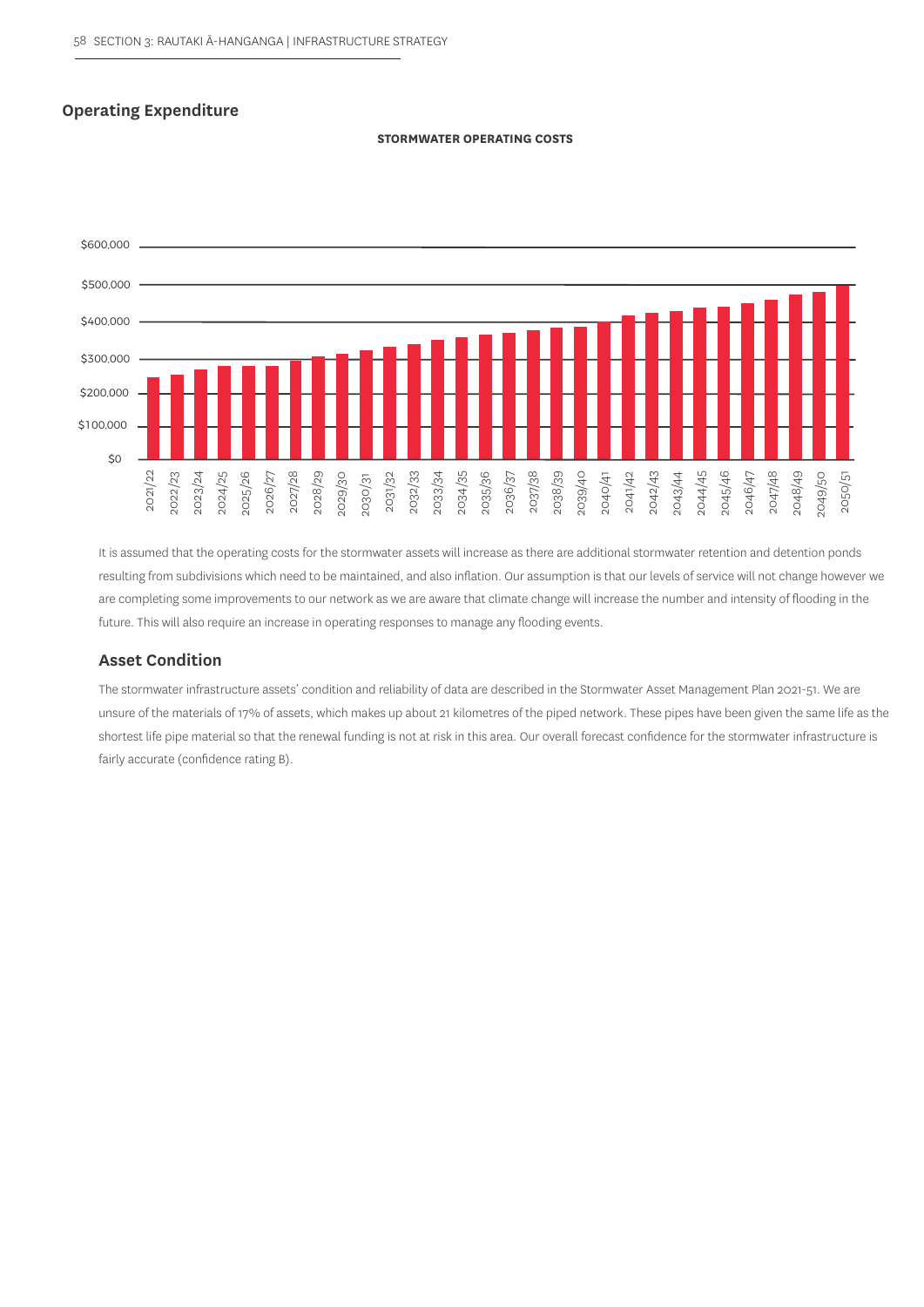## **Operating Expenditure**

#### **STORMWATER OPERATING COSTS**



It is assumed that the operating costs for the stormwater assets will increase as there are additional stormwater retention and detention ponds resulting from subdivisions which need to be maintained, and also inflation. Our assumption is that our levels of service will not change however we are completing some improvements to our network as we are aware that climate change will increase the number and intensity of flooding in the future. This will also require an increase in operating responses to manage any flooding events.

## **Asset Condition**

The stormwater infrastructure assets' condition and reliability of data are described in the Stormwater Asset Management Plan 2021-51. We are unsure of the materials of 17% of assets, which makes up about 21 kilometres of the piped network. These pipes have been given the same life as the shortest life pipe material so that the renewal funding is not at risk in this area. Our overall forecast confidence for the stormwater infrastructure is fairly accurate (confidence rating B).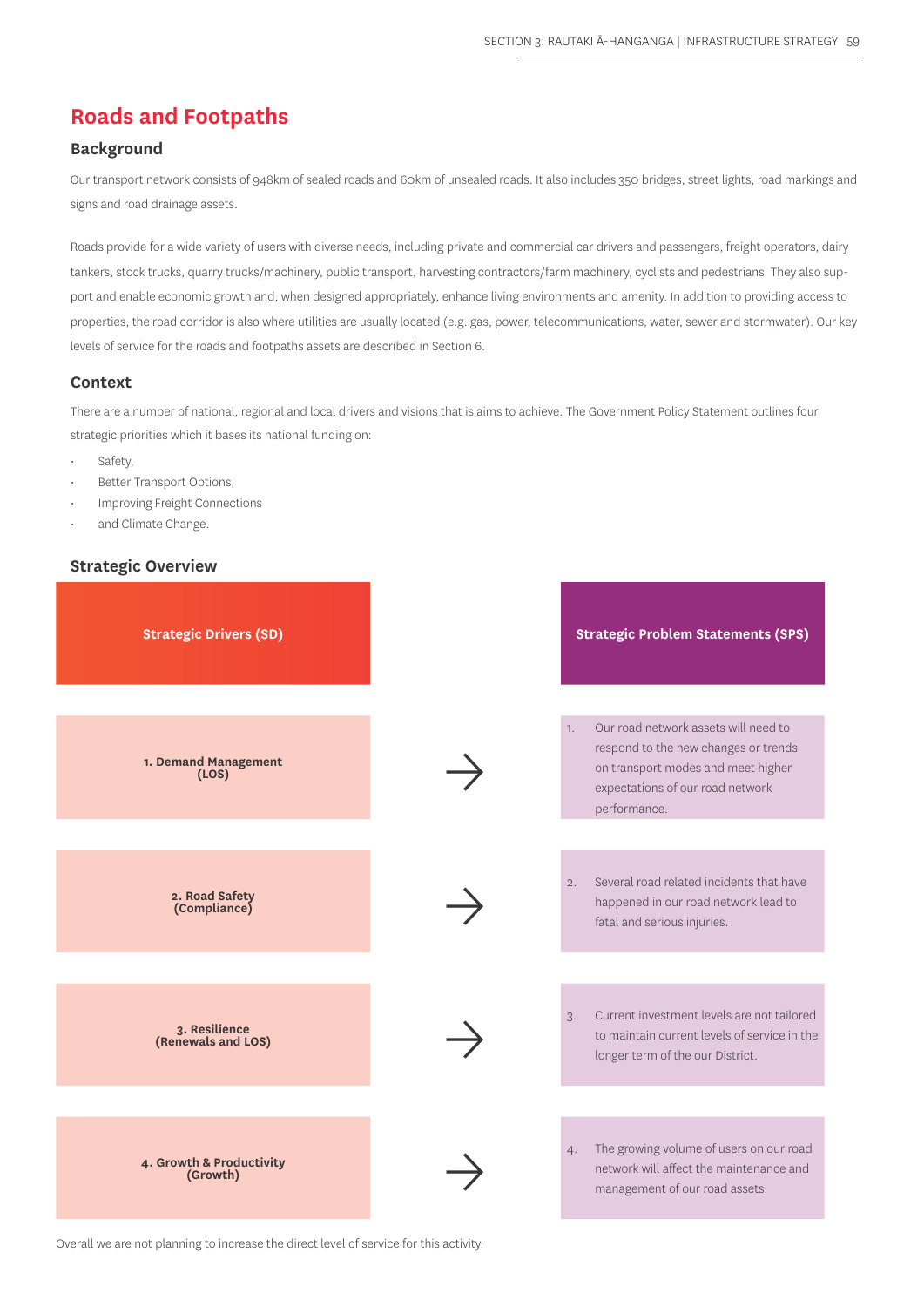# **Roads and Footpaths**

## **Background**

Our transport network consists of 948km of sealed roads and 60km of unsealed roads. It also includes 350 bridges, street lights, road markings and signs and road drainage assets.

Roads provide for a wide variety of users with diverse needs, including private and commercial car drivers and passengers, freight operators, dairy tankers, stock trucks, quarry trucks/machinery, public transport, harvesting contractors/farm machinery, cyclists and pedestrians. They also support and enable economic growth and, when designed appropriately, enhance living environments and amenity. In addition to providing access to properties, the road corridor is also where utilities are usually located (e.g. gas, power, telecommunications, water, sewer and stormwater). Our key levels of service for the roads and footpaths assets are described in Section 6.

#### **Context**

There are a number of national, regional and local drivers and visions that is aims to achieve. The Government Policy Statement outlines four strategic priorities which it bases its national funding on:

- Safety,
- Better Transport Options,
- Improving Freight Connections
- and Climate Change.

#### **Strategic Overview**



Overall we are not planning to increase the direct level of service for this activity.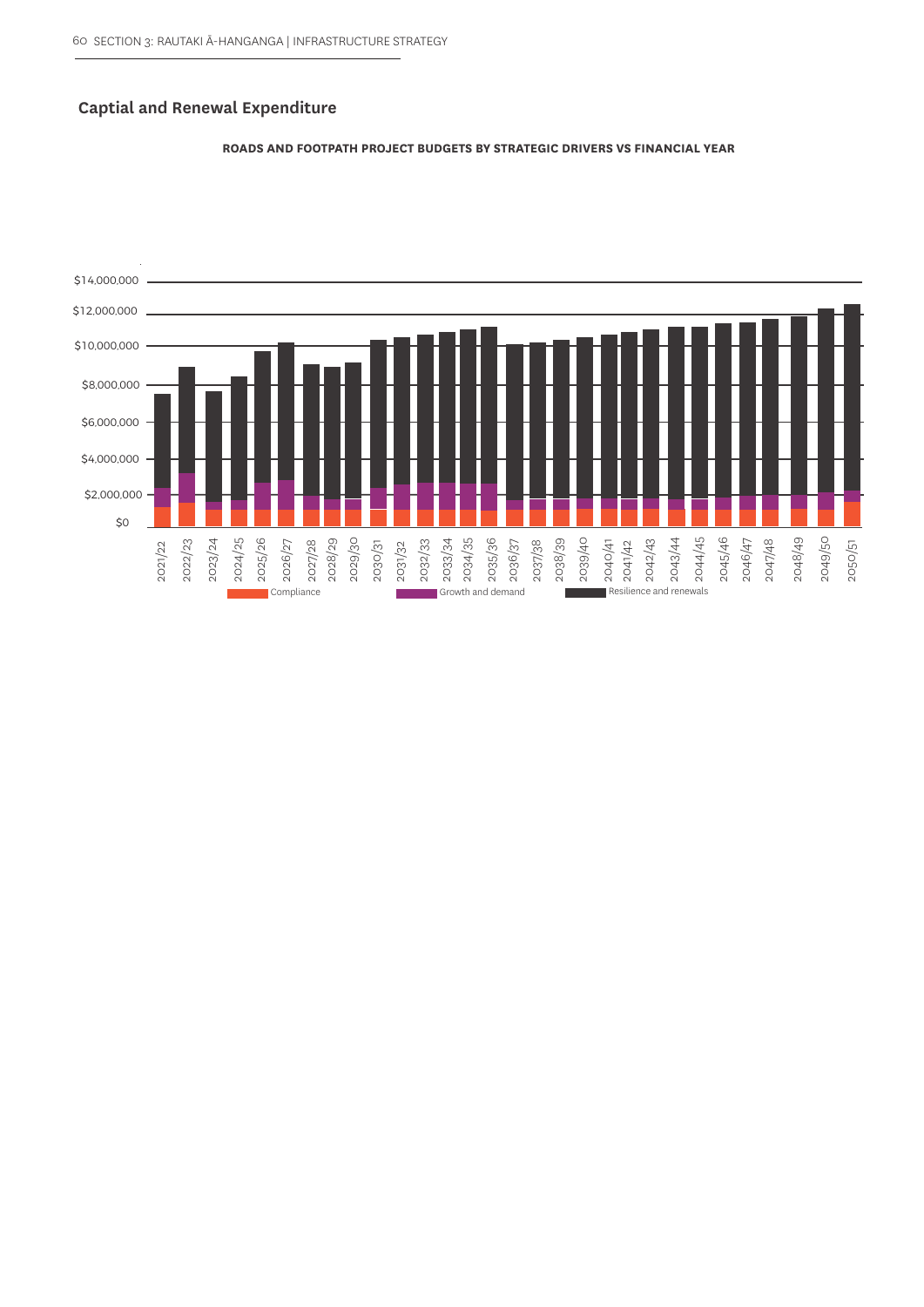## **Captial and Renewal Expenditure**



#### **ROADS AND FOOTPATH PROJECT BUDGETS BY STRATEGIC DRIVERS VS FINANCIAL YEAR**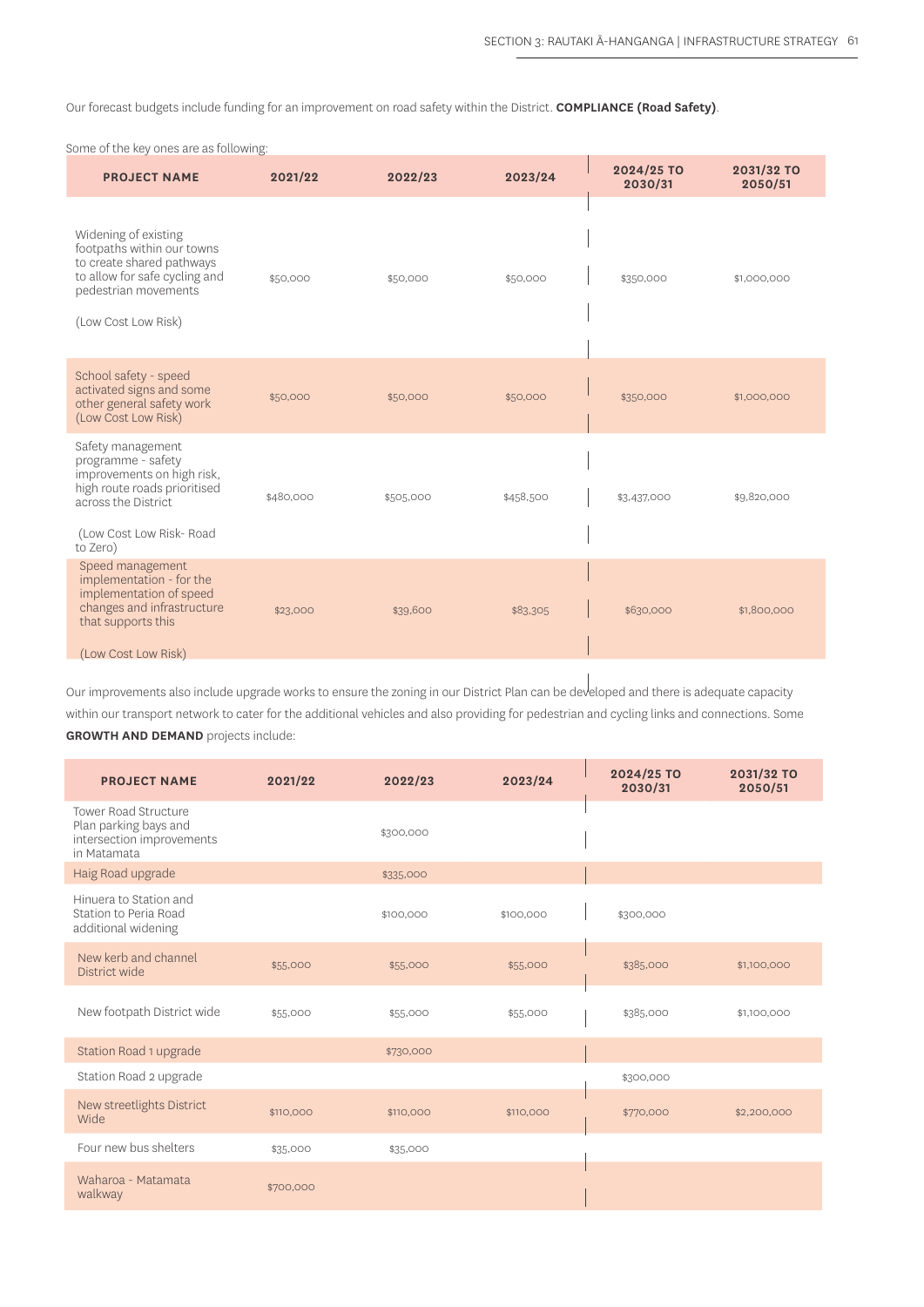Our forecast budgets include funding for an improvement on road safety within the District. **COMPLIANCE (Road Safety)**.

Some of the key ones are as following:

| <b>PROJECT NAME</b>                                                                                                                                                 | 2021/22   | 2022/23   | 2023/24   | 2024/25 TO<br>2030/31 | 2031/32 TO<br>2050/51 |
|---------------------------------------------------------------------------------------------------------------------------------------------------------------------|-----------|-----------|-----------|-----------------------|-----------------------|
| Widening of existing<br>footpaths within our towns<br>to create shared pathways<br>to allow for safe cycling and<br>pedestrian movements<br>(Low Cost Low Risk)     | \$50,000  | \$50,000  | \$50,000  | \$350,000             | \$1,000,000           |
| School safety - speed<br>activated signs and some<br>other general safety work<br>(Low Cost Low Risk)                                                               | \$50,000  | \$50,000  | \$50,000  | \$350,000             | \$1,000,000           |
| Safety management<br>programme - safety<br>improvements on high risk,<br>high route roads prioritised<br>across the District<br>(Low Cost Low Risk-Road<br>to Zero) | \$480,000 | \$505,000 | \$458,500 | \$3,437,000           | \$9,820,000           |
| Speed management<br>implementation - for the<br>implementation of speed<br>changes and infrastructure<br>that supports this<br>(Low Cost Low Risk)                  | \$23,000  | \$39,600  | \$83,305  | \$630,000             | \$1,800,000           |

Our improvements also include upgrade works to ensure the zoning in our District Plan can be developed and there is adequate capacity within our transport network to cater for the additional vehicles and also providing for pedestrian and cycling links and connections. Some

**GROWTH AND DEMAND** projects include:

| <b>PROJECT NAME</b>                                                                              | 2021/22   | 2022/23   | 2023/24   | 2024/25 TO<br>2030/31 | 2031/32 TO<br>2050/51 |
|--------------------------------------------------------------------------------------------------|-----------|-----------|-----------|-----------------------|-----------------------|
| <b>Tower Road Structure</b><br>Plan parking bays and<br>intersection improvements<br>in Matamata |           | \$300,000 |           |                       |                       |
| Haig Road upgrade                                                                                |           | \$335,000 |           |                       |                       |
| Hinuera to Station and<br>Station to Peria Road<br>additional widening                           |           | \$100,000 | \$100,000 | \$300,000             |                       |
| New kerb and channel<br>District wide                                                            | \$55,000  | \$55,000  | \$55,000  | \$385,000             | \$1,100,000           |
| New footpath District wide                                                                       | \$55,000  | \$55,000  | \$55,000  | \$385,000             | \$1,100,000           |
| Station Road 1 upgrade                                                                           |           | \$730,000 |           |                       |                       |
| Station Road 2 upgrade                                                                           |           |           |           | \$300,000             |                       |
| New streetlights District<br>Wide                                                                | \$110,000 | \$110,000 | \$110,000 | \$770,000             | \$2,200,000           |
| Four new bus shelters                                                                            | \$35,000  | \$35,000  |           |                       |                       |
| Waharoa - Matamata<br>walkway                                                                    | \$700,000 |           |           |                       |                       |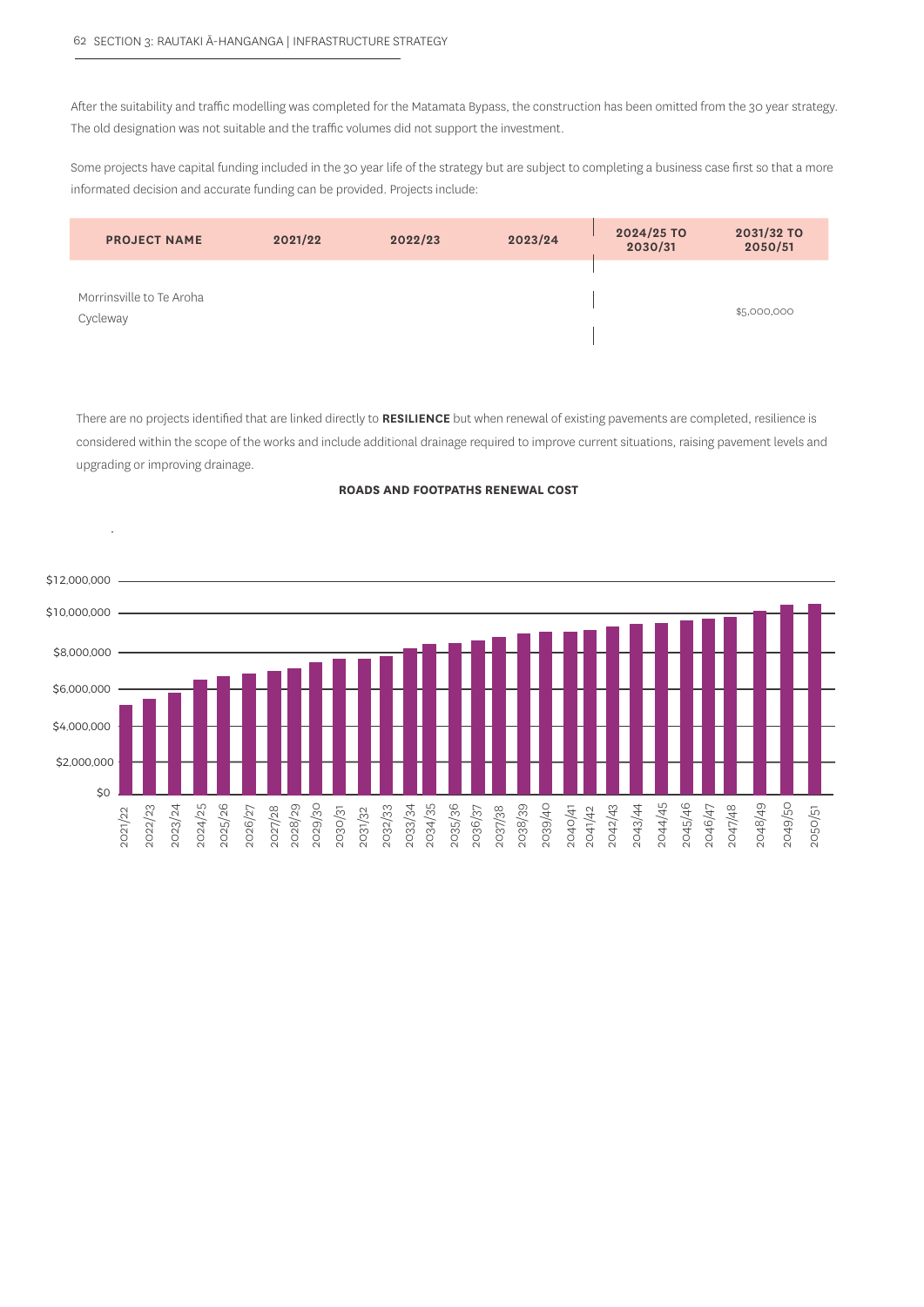After the suitability and traffic modelling was completed for the Matamata Bypass, the construction has been omitted from the 30 year strategy. The old designation was not suitable and the traffic volumes did not support the investment.

Some projects have capital funding included in the 30 year life of the strategy but are subject to completing a business case first so that a more informated decision and accurate funding can be provided. Projects include:

| <b>PROJECT NAME</b>                  | 2021/22 | 2022/23 | 2023/24 | 2024/25 TO<br>2030/31 | 2031/32 TO<br>2050/51 |
|--------------------------------------|---------|---------|---------|-----------------------|-----------------------|
| Morrinsville to Te Aroha<br>Cycleway |         |         |         |                       | \$5,000,000           |

There are no projects identified that are linked directly to **RESILIENCE** but when renewal of existing pavements are completed, resilience is considered within the scope of the works and include additional drainage required to improve current situations, raising pavement levels and upgrading or improving drainage.

#### **ROADS AND FOOTPATHS RENEWAL COST**

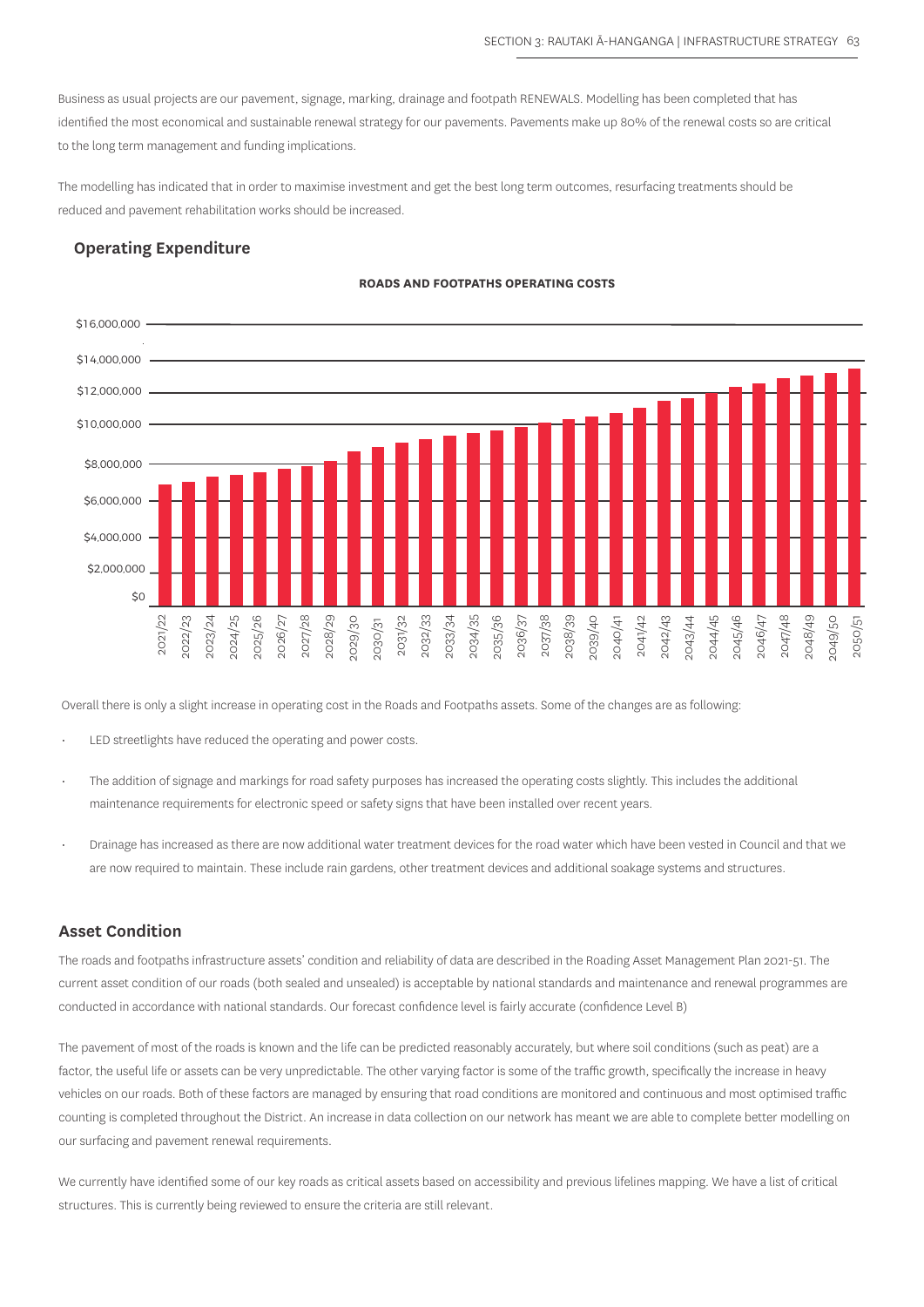Business as usual projects are our pavement, signage, marking, drainage and footpath RENEWALS. Modelling has been completed that has identified the most economical and sustainable renewal strategy for our pavements. Pavements make up 80% of the renewal costs so are critical to the long term management and funding implications.

The modelling has indicated that in order to maximise investment and get the best long term outcomes, resurfacing treatments should be reduced and pavement rehabilitation works should be increased.

## **Operating Expenditure**

#### **ROADS AND FOOTPATHS OPERATING COSTS**



Overall there is only a slight increase in operating cost in the Roads and Footpaths assets. Some of the changes are as following:

- LED streetlights have reduced the operating and power costs.
- The addition of signage and markings for road safety purposes has increased the operating costs slightly. This includes the additional maintenance requirements for electronic speed or safety signs that have been installed over recent years.
- Drainage has increased as there are now additional water treatment devices for the road water which have been vested in Council and that we are now required to maintain. These include rain gardens, other treatment devices and additional soakage systems and structures.

#### **Asset Condition**

The roads and footpaths infrastructure assets' condition and reliability of data are described in the Roading Asset Management Plan 2021-51. The current asset condition of our roads (both sealed and unsealed) is acceptable by national standards and maintenance and renewal programmes are conducted in accordance with national standards. Our forecast confidence level is fairly accurate (confidence Level B)

The pavement of most of the roads is known and the life can be predicted reasonably accurately, but where soil conditions (such as peat) are a factor, the useful life or assets can be very unpredictable. The other varying factor is some of the traffic growth, specifically the increase in heavy vehicles on our roads. Both of these factors are managed by ensuring that road conditions are monitored and continuous and most optimised traffic counting is completed throughout the District. An increase in data collection on our network has meant we are able to complete better modelling on our surfacing and pavement renewal requirements.

We currently have identified some of our key roads as critical assets based on accessibility and previous lifelines mapping. We have a list of critical structures. This is currently being reviewed to ensure the criteria are still relevant.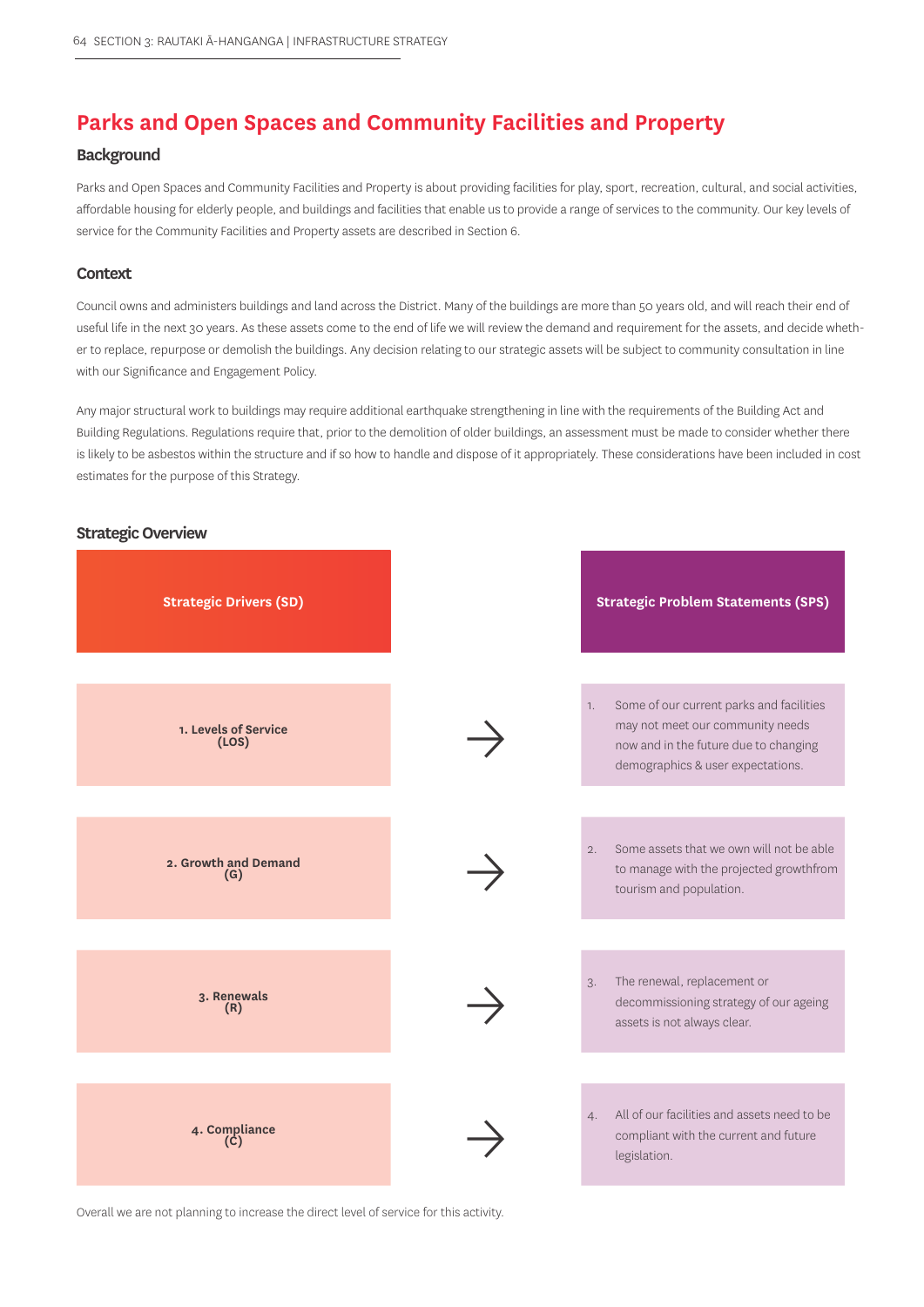# **Parks and Open Spaces and Community Facilities and Property**

#### **Background**

Parks and Open Spaces and Community Facilities and Property is about providing facilities for play, sport, recreation, cultural, and social activities, affordable housing for elderly people, and buildings and facilities that enable us to provide a range of services to the community. Our key levels of service for the Community Facilities and Property assets are described in Section 6.

#### **Context**

Council owns and administers buildings and land across the District. Many of the buildings are more than 50 years old, and will reach their end of useful life in the next 30 years. As these assets come to the end of life we will review the demand and requirement for the assets, and decide whether to replace, repurpose or demolish the buildings. Any decision relating to our strategic assets will be subject to community consultation in line with our Significance and Engagement Policy.

Any major structural work to buildings may require additional earthquake strengthening in line with the requirements of the Building Act and Building Regulations. Regulations require that, prior to the demolition of older buildings, an assessment must be made to consider whether there is likely to be asbestos within the structure and if so how to handle and dispose of it appropriately. These considerations have been included in cost estimates for the purpose of this Strategy.

## **Strategic Overview**



Overall we are not planning to increase the direct level of service for this activity.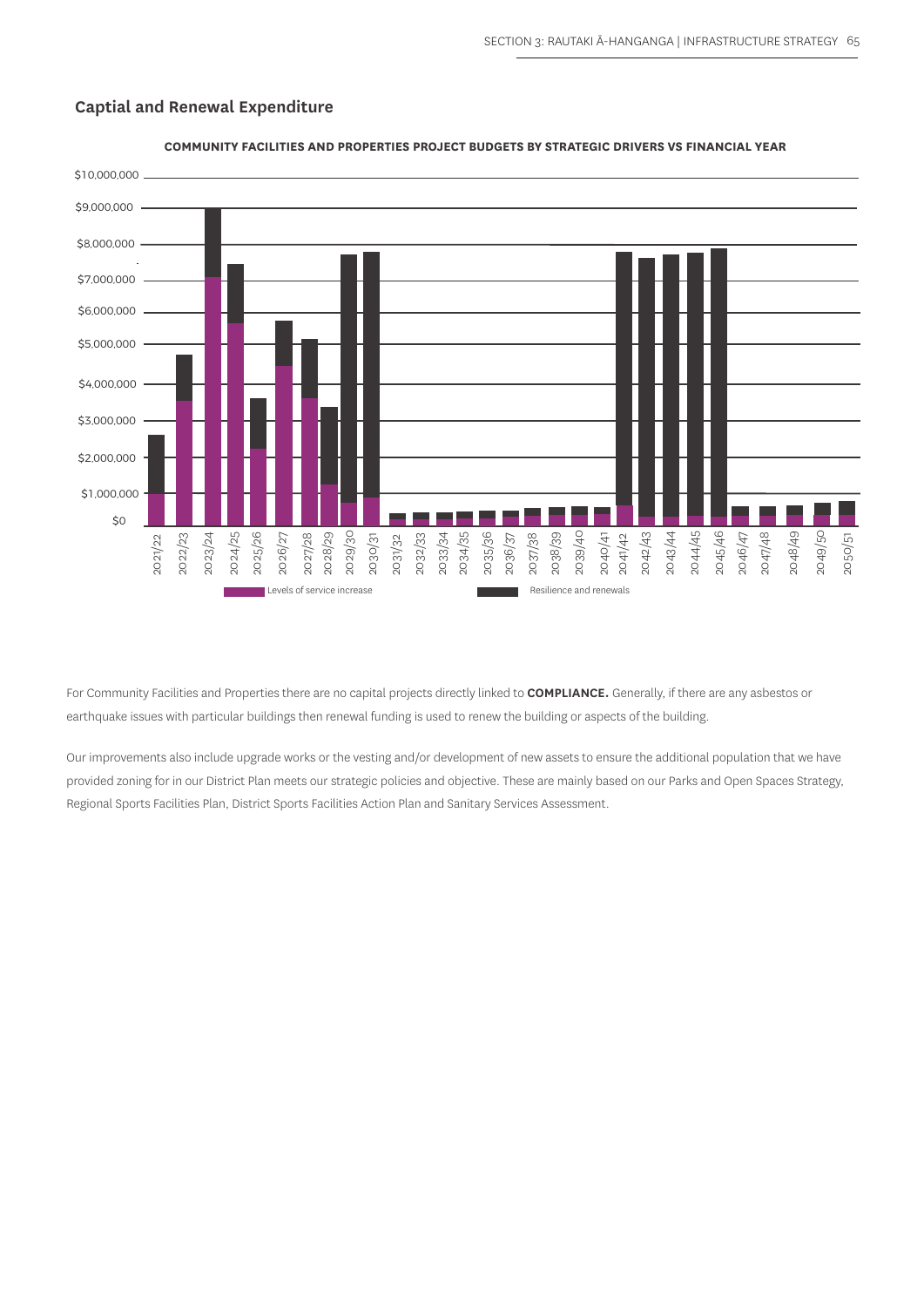

## **Captial and Renewal Expenditure**

For Community Facilities and Properties there are no capital projects directly linked to **COMPLIANCE.** Generally, if there are any asbestos or earthquake issues with particular buildings then renewal funding is used to renew the building or aspects of the building.

Our improvements also include upgrade works or the vesting and/or development of new assets to ensure the additional population that we have provided zoning for in our District Plan meets our strategic policies and objective. These are mainly based on our Parks and Open Spaces Strategy,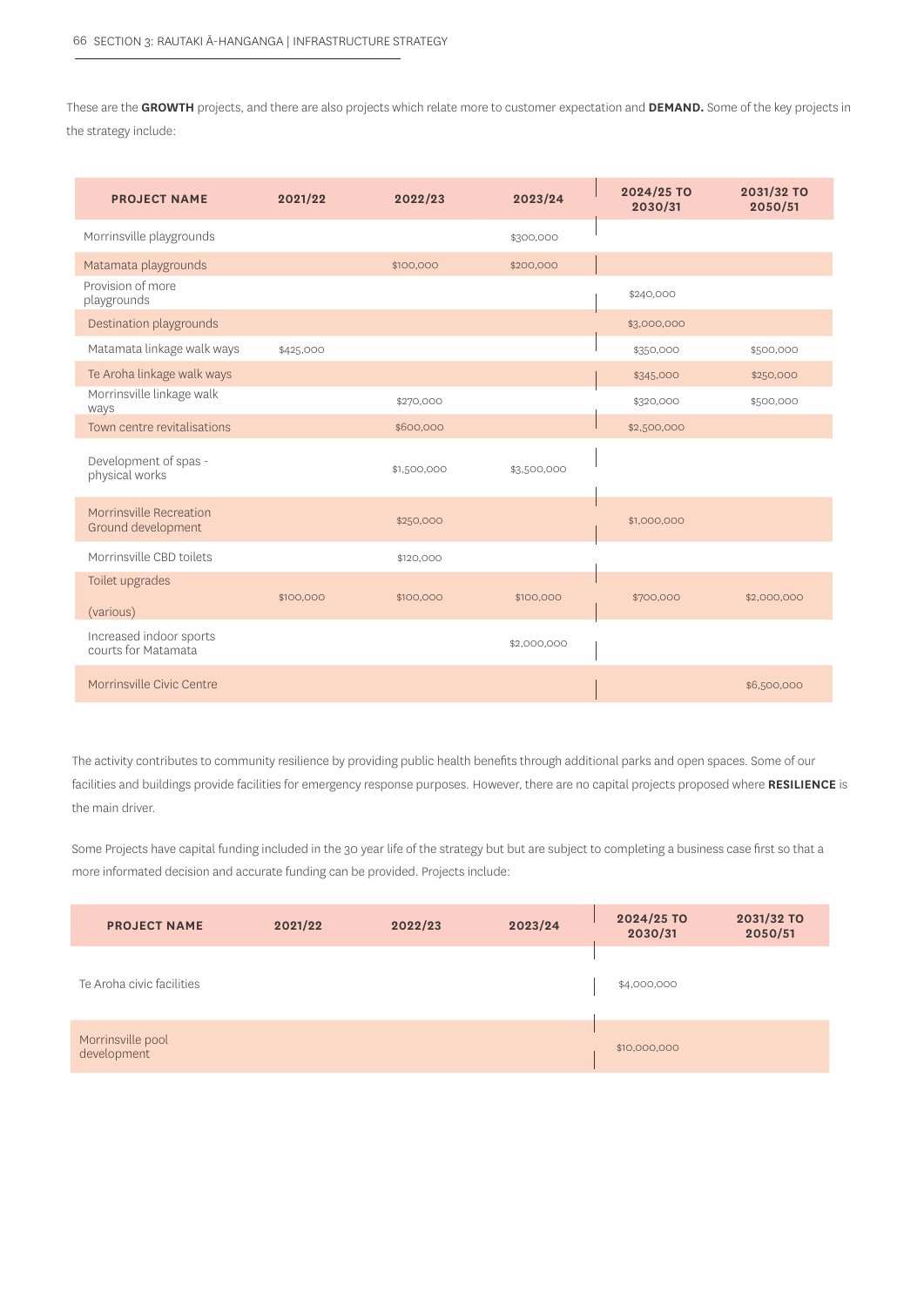These are the **GROWTH** projects, and there are also projects which relate more to customer expectation and **DEMAND.** Some of the key projects in the strategy include:

| <b>PROJECT NAME</b>                            | 2021/22   | 2022/23     | 2023/24     | 2024/25 TO<br>2030/31 | 2031/32 TO<br>2050/51 |
|------------------------------------------------|-----------|-------------|-------------|-----------------------|-----------------------|
| Morrinsville playgrounds                       |           |             | \$300,000   |                       |                       |
| Matamata playgrounds                           |           | \$100,000   | \$200,000   |                       |                       |
| Provision of more<br>playgrounds               |           |             |             | \$240,000             |                       |
| Destination playgrounds                        |           |             |             | \$3,000,000           |                       |
| Matamata linkage walk ways                     | \$425,000 |             |             | \$350,000             | \$500,000             |
| Te Aroha linkage walk ways                     |           |             |             | \$345,000             | \$250,000             |
| Morrinsville linkage walk<br>ways              |           | \$270,000   |             | \$320,000             | \$500,000             |
| Town centre revitalisations                    |           | \$600,000   |             | \$2,500,000           |                       |
| Development of spas -<br>physical works        |           | \$1,500,000 | \$3,500,000 |                       |                       |
| Morrinsville Recreation<br>Ground development  |           | \$250,000   |             | \$1,000,000           |                       |
| Morrinsville CBD toilets                       |           | \$120,000   |             |                       |                       |
| Toilet upgrades<br>(various)                   | \$100,000 | \$100,000   | \$100,000   | \$700,000             | \$2,000,000           |
| Increased indoor sports<br>courts for Matamata |           |             | \$2,000,000 |                       |                       |
| Morrinsville Civic Centre                      |           |             |             |                       | \$6,500,000           |

The activity contributes to community resilience by providing public health benefits through additional parks and open spaces. Some of our facilities and buildings provide facilities for emergency response purposes. However, there are no capital projects proposed where **RESILIENCE** is the main driver.

Some Projects have capital funding included in the 30 year life of the strategy but but are subject to completing a business case first so that a more informated decision and accurate funding can be provided. Projects include:

| <b>PROJECT NAME</b>              | 2021/22 | 2022/23 | 2023/24 | 2024/25 TO<br>2030/31 | 2031/32 TO<br>2050/51 |
|----------------------------------|---------|---------|---------|-----------------------|-----------------------|
| Te Aroha civic facilities        |         |         |         | \$4,000,000           |                       |
| Morrinsville pool<br>development |         |         |         | \$10,000,000          |                       |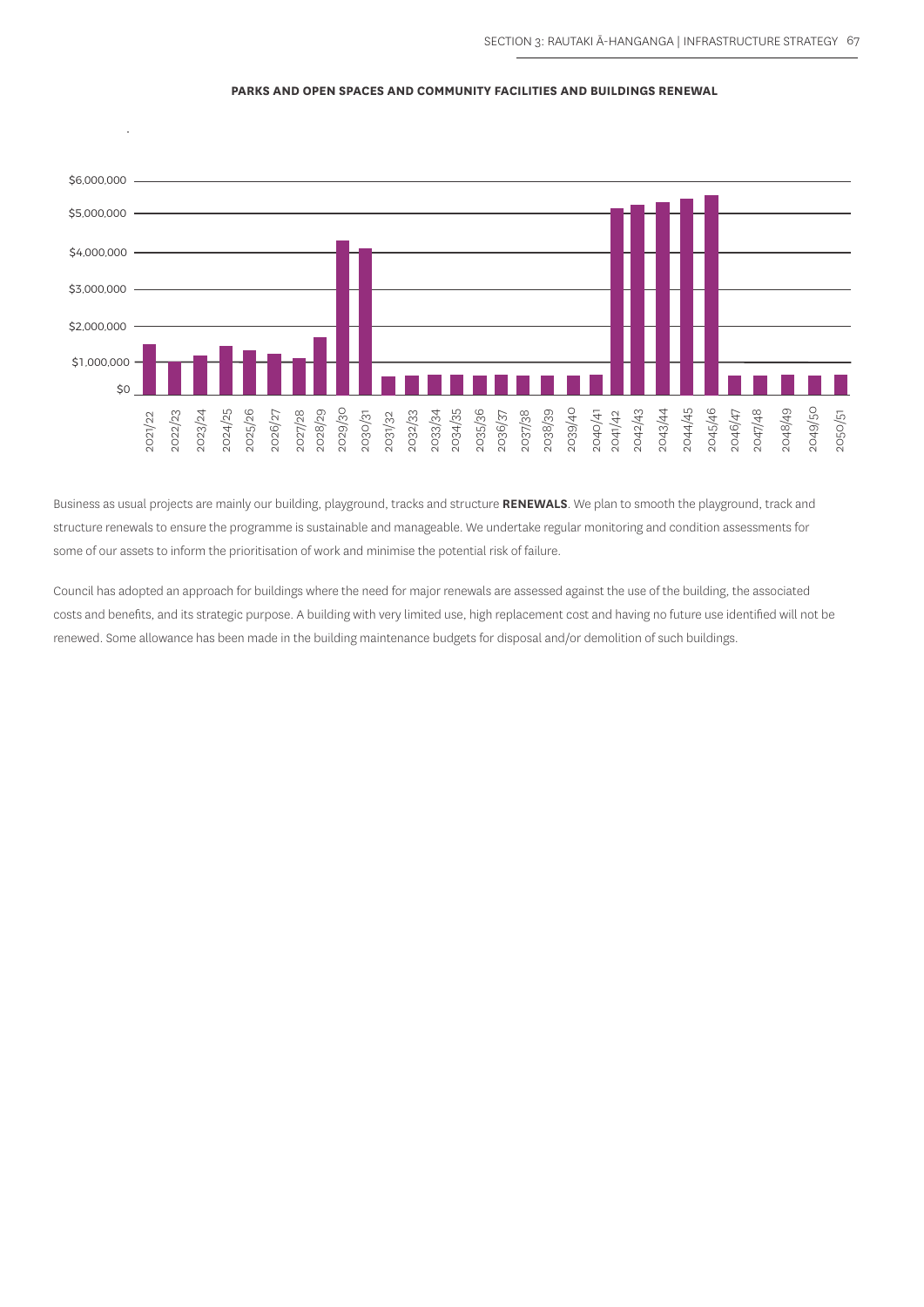#### **PARKS AND OPEN SPACES AND COMMUNITY FACILITIES AND BUILDINGS RENEWAL**



Business as usual projects are mainly our building, playground, tracks and structure **RENEWALS**. We plan to smooth the playground, track and structure renewals to ensure the programme is sustainable and manageable. We undertake regular monitoring and condition assessments for some of our assets to inform the prioritisation of work and minimise the potential risk of failure. Business as usual projects are mainly our building, playground, tracks and structure **RENEWALLS.** We plan to smooth the playground structure renewed so the programme is sustainable and manageable. We undertake regular mon

Council has adopted an approach for buildings where the need for major renewals are assessed against the use of the building, the associated costs and benefits, and its strategic purpose. A building with very limited use, high replacement cost and having no future use identified will not be